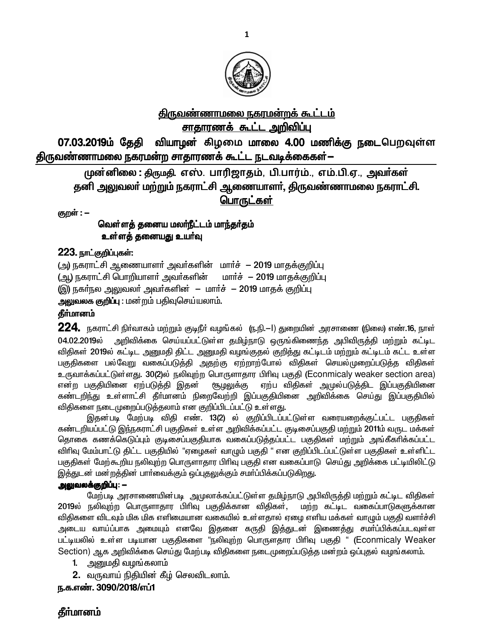

# <u>திருவண்ணாமலை நகரமன்றக் கூட்டம்</u> <u>சாதாரணக் கூட்ட அறிவிப்பு</u>

07.03.2019ம் தேதி வியாழன் கிழமை மாலை 4.00 மணிக்கு நடைபெறவுள்ள திருவண்ணாமலை நகரமன்ற சாதாரணக் கூட்ட நடவடிக்கைகள்—

முன்னிலை : திருமதி, எஸ். பாரிஜாதம், பி.பார்ம்., எம்.பி.ஏ., அவர்கள் தனி அலுவலா் மற்றும் நகராட்சி ஆணையாளா், திருவண்ணாமலை நகராட்சி. பொருட்கள்

குறள் : -

<u>வெள்ளத்</u> தனைய மலா்நீட்டம் மாந்தா்தம் <u>உள்ளத் தனையது உயர்வு</u>

#### 223. நாட்குறிப்புகள்:

(அ) நகராட்சி ஆணையாளர் அவர்களின் மார்ச் - 2019 மாதக்குறிப்பு (ஆ) நகராட்சி பொறியாளா் அவா்களின் மாா்ச் - 2019 மாதக்குறிப்பு (இ) நகர்நல அலுவலர் அவர்களின் – மார்ச் – 2019 மாதக் குறிப்பு அலுவலக குறிப்பு : மன்றம் பதிவுசெய்யலாம்.

## தீா்மானம்

 $224$ . நகராட்சி நிர்வாகம் மற்றும் குடிநீர் வழங்கல் (ந.நி.—l) துறையின் அரசாணை (நிலை) எண்.16, நாள் 04.02.2019ல் அறிவிக்கை செய்யப்பட்டுள்ள தமிழ்நாடு ஒருங்கிணைந்த அபிவிருத்தி மற்றும் கட்டிட விதிகள் 2019ல் கட்டிட அனுமதி திட்ட அனுமதி வழங்குதல் குறித்து கட்டிடம் மற்றும் கட்டிடம் கட்ட உள்ள பகுதிகளை பல்வேறு வகைப்படுத்தி அதற்கு ஏற்றாற்போல் விதிகள் செயல்முறைப்படுத்த விதிகள் உருவாக்கப்பட்டுள்ளது. 30(2)ல் நலிவுற்ற பொருளாதார பிரிவு பகுதி (Econmicaly weaker section area) என்ற பகுதியினை ஏற்படுத்தி இதன் ரூடிலுக்கு ஏற்ப விதிகள் அமுல்படுத்திட இப்பகுதியினை ்கண்டறிந்து உள்ளாட்சி தீா்மானம் நிறைவேற்றி இப்பகுதியினை அறிவிக்கை செய்து இப்பகுதியில் விதிகளை நடைமுறைப்படுத்தலாம் என குறிப்பிடப்பட்டு உள்ள<u>து</u>.

இதன்படி மேற்படி விதி எண். 13(2) ல் குறிப்பிடப்பட்டுள்ள வரையறைக்குட்பட்ட பகுதிகள் கண்டறியப்பட்டு இந்நகராட்சி பகுதிகள் உள்ள அறிவிக்கப்பட்ட குடிசைப்பகுதி மற்றும் 2011ம் வருட மக்கள் <u>தொகை கணக்கெடுப்பும் குடிசைப்பகுதியாக வகைப்படுத்தப்பட்ட பகுதிகள் மற்றும் அங்கீகரிக்கப்பட்ட</u> விரிவு மேம்பாட்டு திட்ட பகுதியில் "ஏழைகள் வாழும் பகுதி " என குறிப்பிடப்பட்டுள்ள பகுதிகள் உள்ளிட்ட பகுதிகள் மேற்கூறிய நலிவுற்ற பொருளாதார பிரிவு பகுதி என வகைப்பாடு செய்து அறிக்கை பட்டியிலிட்டு இத்துடன் மன்றத்தின் பார்வைக்கும் ஒப்புதலுக்கும் சமர்ப்பிக்கப்படுகிறது.

#### **அலுவலக்குறிப்பு: —**

மேற்படி அரசாணையின்படி அமுலாக்கப்பட்டுள்ள தமிழ்நாடு அபிவிருத்தி மற்றும் கட்டிட விதிகள் 2019ல் நலிவுற்ற பொருளாதார பிரிவு பகுதிக்கான விதிகள், மற்ற கட்டிட வகைப்பாடுகளுக்கான விதிகளை விடவும் மிக மிக எளிமையான வகையில் உள்ளதால் ஏழை எளிய மக்கள் வாழும் பகுதி வளர்ச்சி அடைய வாய்ப்பாக அமையும் எனவே இதனை கருதி இத்துடன் இணைத்து சமா்ப்பிக்கப்படவுள்ள பட்டியலில் உள்ள படியான பகுதிகளை "நலிவுற்ற பொருளதார பிரிவு பகுதி" (Econmicaly Weaker Section) ஆக அறிவிக்கை செய்து மேற்படி விதிகளை நடைமுறைப்படுத்த மன்றம் ஒப்புதல் வழங்கலாம்.

- 1. அனுமதி வழங்கலாம்
- 2. வருவாய் நிதியின் கீழ் செலவிடலாம்.

#### ந.க.எண். 3090/2018/எப்1

# தீா்மானம்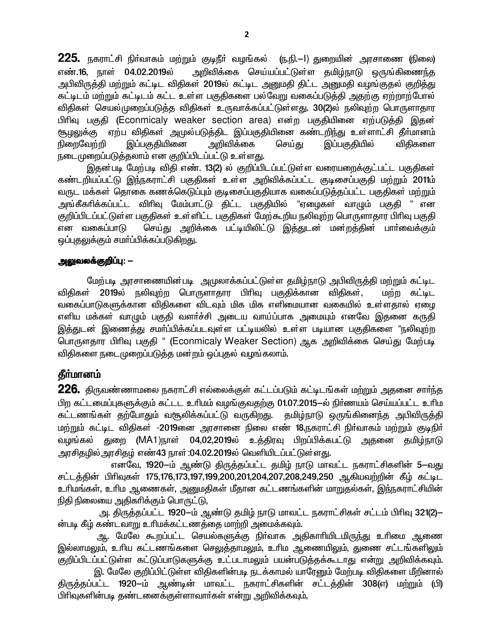$\overline{225}$ . நகராட்சி நிர்வாகம் மற்றும் குடிநீர் வழங்கல் (ந.நி.–l) துறையின் அரசாணை (நிலை) எண்.16. நாள் 04.02.2019ல் அறிவிக்கை செய்யப்பட்டுள்ள தமிழ்நாடு ஒருங்கிணைந்த அபிவிருத்தி மற்றும் கட்டிட விதிகள் 2019ல் கட்டிட அனுமதி திட்ட அனுமதி வழங்குதல் குறித்து கட்டிடம் மற்றும் கட்டிடம் கட்ட உள்ள பகுதிகளை பல்வேறு வகைப்படுத்தி அதற்கு ஏற்றாற்போல் விதிகள் செயல்முறைப்படுத்த விதிகள் உருவாக்கப்பட்டுள்ளது. 30(2)ல் நலிவுற்ற பொருளாதார பிரிவு பகுதி (Econmicaly weaker section area) என்ற பகுதியினை ஏற்படுத்தி இதன் சூழலுக்கு ஏற்ப விதிகள் அமுல்படுத்திட இப்பகுதியினை கண்டறிந்து உள்ளாட்சி தீா்மானம் இப்பகுதியினை அறிவிக்கை நிறைவேற்றி செய்கு இப்பகுதியில் விகிகளை நடைமுறைப்படுத்தலாம் என குறிப்பிடப்பட்டு உள்ளது.

இதன்படி மேற்படி விதி எண். 13(2) ல் குறிப்பிடப்பட்டுள்ள வரையறைக்குட்பட்ட பகுதிகள் கண்டறியப்பட்டு இந்நகராட்சி பகுதிகள் உள்ள அறிவிக்கப்பட்ட குடிசைப்பகுதி மற்றும் 2011ம் வருட மக்கள் தொகை கணக்கெடுப்பும் குடிசைப்பகுதியாக வகைப்படுத்தப்பட்ட பகுதிகள் மற்றும் அங்கீகரிக்கப்பட்ட விரிவு மேம்பாட்டு திட்ட பகுதியில் "ஏழைகள் வாழும் பகுதி " என குறிப்பிடப்பட்டுள்ள பகுதிகள் உள்ளிட்ட பகுதிகள் மேற்கூறிய நலிவுற்ற பொருளாதார பிரிவு பகுதி செய்து அறிக்கை பட்டியிலிட்டு இத்துடன் மன்றத்தின் பார்வைக்கும் என வகைப்பாடு ஒப்புதலுக்கும் சமாப்பிக்கப்படுகிறது.

#### அலுவலக்குறிப்பு: —

மேற்படி அரசாணையின்படி அமுலாக்கப்பட்டுள்ள தமிழ்நாடு அபிவிருத்தி மற்றும் கட்டிட விதிகள் 2019ல் நலிவுற்ற பொருளாதார பிரிவு பகுதிக்கான விதிகள், மற்ற கட்டிட வகைப்பாடுகளுக்கான விதிகளை விடவும் மிக மிக எளிமையான வகையில் உள்ளதால் ஏழை எளிய மக்கள் வாழும் பகுதி வளர்ச்சி அடைய வாய்ப்பாக அமையும் எனவே இதனை கருதி இத்துடன் இணைத்து சமா்ப்பிக்கப்படவுள்ள பட்டியலில் உள்ள படியான பகுதிகளை "நலிவுற்ற பொருளதார பிரிவு பகுதி " (Econmicaly Weaker Section) ஆக அறிவிக்கை செய்து மேற்படி விதிகளை நடைமுறைப்படுக்க மன்றம் ஒப்புதல் வமங்கலாம்.

#### தீர்மானம்

**226.** திருவண்ணாமலை நகராட்சி எல்லைக்குள் கட்டப்படும் கட்டிடங்கள் மற்றும் அதனை சார்ந்த பிற கட்டமைப்புகளுக்கும் கட்டட உரிமம் வழங்குவதற்கு 01.07.2015–ல் நிர்ணயம் செய்யப்பட்ட உரிம கட்டணங்கள் தற்போதும் வசூலிக்கப்பட்டு வருகிறது. தமிழ்நாடு ஒருங்கினைந்த அபிவிருத்தி மற்றும் கட்டிட விதிகள் -2019னை அரசானை நிலை எண் 18,நகராட்சி நிர்வாகம் மற்றும் குடிநிர் வழங்கல் துறை (MA1)நூள் 04,02,2019ல் உத்திரவு பிறப்பிக்கபட்டு அதனை தமிழ்நாடு அரசிதழில் அரசிதழ் எண்43 நாள் :04.02.2019ல் வெளியிடப்பட்டுள்ளது.

எனவே, 1920-ம் ஆண்டு திருத்தப்பட்ட தமிழ் நாடு மாவட்ட நகராட்சிகளின் 5–வது சட்டத்தின் பிரிவுகள் 175,176,173,197,199,200,201,204,207,208,249,250 ஆகியவற்றின் கீழ் கட்டிட உரிமங்கள், உரிம ஆணைகள், அனுமதிகள் மீதான கட்டணங்களின் மாறுதல்கள், இந்நகராட்சியின் நிதி நிலையை அதிகரிக்கும் பொருட்டு,

அ. திருத்தப்பட்ட 1920–ம் ஆண்டு தமிழ் நாடு மாவட்ட நகராட்சிகள் சட்டம் பிரிவு 321(2)– ன்படி கீழ் கண்டவாறு உரிமக்கட்டணத்தை மாற்றி அமைக்கவும்.

ஆ. மேலே கூறப்பட்ட செயல்களுக்கு நிா்வாக அதிகாாியிடமிருந்து உாிமை ஆணை இல்லாமலும், உரிய கட்டணங்களை செலுத்தாமலும், உரிம ஆணையிலும், துணை சட்டங்களிலும் குறிப்பிடப்பட்டுள்ள கட்டுப்பாடுகளுக்கு உட்படாமலும் பயன்படுத்தக்கூடாது என்று அறிவிக்கவும்.

இ. மேலே குறிப்பிட்டுள்ள விதிகளின்படி நடக்காமல் யாரேனும் மேற்படி விதிகளை மீறினால் திருத்தப்பட்ட 1920-ம் ஆண்டின் மாவட்ட நகராட்சிகளின் சட்டத்தின் 308(எ) மற்றும் (பி) பிரிவுகளின்படி தண்டனைக்குள்ளாவார்கள் என்று அறிவிக்கவும்,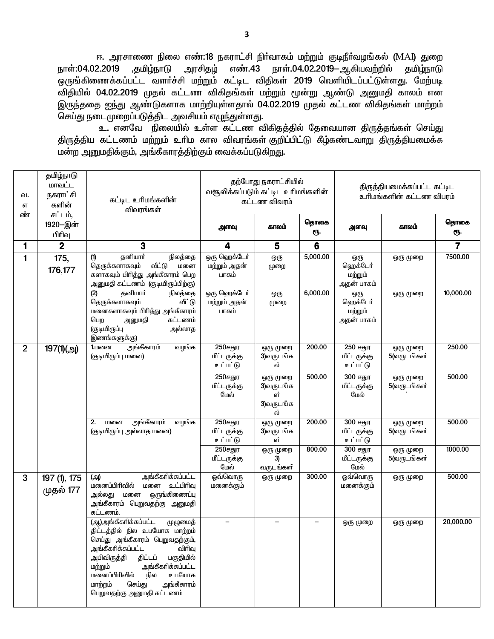ஈ. அரசாணை நிலை எண்:**18** நகராட்சி நிா்வாகம் மற்றும் குடிநீா்வழங்கல் (MAI) துறை ,தமிழ்நாடு எண்.43 நாள்.04.02.2019-ஆகியவற்றில் நாள்:04.02.2019 அரசிதம் தமிழ்நாடு ஒருங்கிணைக்கப்பட்ட வளர்ச்சி மற்றும் கட்டிட விதிகள் 2019 வெளியிடப்பட்டுள்ளது. மேற்படி .<br>விதியில் 04.02.2019 முதல் கட்டண விகிதங்கள் மற்றும் மூன்று ஆண்டு அனுமதி காலம் என இருந்ததை ஐந்து ஆண்டுகளாக மாற்றியுள்ளதால் 04.02.2019 முதல் கட்டண விகிதங்கள் மாற்றம் செய்து நடைமுறைப்படுத்திட அவசியம் எழுந்துள்ளது.

உ. எனவே நிலையில் உள்ள கட்டண விகிதத்தில் தேவையான திருத்தங்கள் செய்து .<br>திருத்திய கட்டணம் மற்றும் உரிம கால விவரங்கள் குறிப்பிட்டு கீழ்கண்டவாறு திருத்தியமைக்க .<br>மன்ற அனுமதிக்கும், அங்கீகாரத்திற்கும் வைக்கப்படுகிறது.

| ഖ.<br>எ        | தமிழ்நாடு<br>மாவட்ட<br>நகராட்சி<br>களின்      | கட்டிட உரிமங்களின்<br>விவரங்கள்                                                                                                                                                                                                                                                                             | தற்போது நகராட்சியில்<br>வசூலிக்கப்படும் கட்டிட உரிமங்களின்<br>கட்டண விவரம் |                                                | திருத்தியமைக்கப்பட்ட கட்டிட<br>உரிமங்களின் கட்டண விபரம் |                                          |                         |                         |
|----------------|-----------------------------------------------|-------------------------------------------------------------------------------------------------------------------------------------------------------------------------------------------------------------------------------------------------------------------------------------------------------------|----------------------------------------------------------------------------|------------------------------------------------|---------------------------------------------------------|------------------------------------------|-------------------------|-------------------------|
| ண்             | சட்டம்,<br>1920-இன்<br>பிரிவு                 |                                                                                                                                                                                                                                                                                                             | அளவு                                                                       | காலம்                                          | தொகை<br>ரூ.                                             | அளவு                                     | காலம்                   | தொகை<br>ரூ.             |
| 1              | $\mathbf 2$                                   | 3                                                                                                                                                                                                                                                                                                           | 4                                                                          | 5                                              | 6                                                       |                                          |                         | $\overline{\mathbf{7}}$ |
| $\mathbf{1}$   | 175,<br>176,177                               | தனியார்<br>நிலத்தை<br>(1)<br>வீட்டு<br>தெருக்களாகவும்<br>மனை<br>களாகவும் பிரித்து அங்கீகாரம் பெற<br>அனுமதி கட்டணம் (குடியிருப்பிற்கு)                                                                                                                                                                       | ஒரு ஹெக்டோ்<br>மற்றும் அதன்<br>பாகம்                                       | ஒரு<br>முறை                                    | 5,000.00                                                | ஒரு<br>ஹெக்டோ்<br>மற்றும்<br>அதன் பாகம்  | ஒரு முறை                | 7500.00                 |
|                |                                               | (2)<br>தனியார்<br>நிலத்தை<br>தெருக்களாகவும்<br>வீட்டு<br>மனைகளாகவும் பிரித்து அங்கீகாரம்<br>கட்டணம்<br>பெற<br>அனுமதி<br>(குடியிருப்பு<br>அல்லாத<br>இணங்களுக்கு)                                                                                                                                             | ஒரு ஹெக்டோ்<br>மற்றும் அதன்<br>பாகம்                                       | ஒரு<br>முறை                                    | 6,000.00                                                | ஒரு<br>ஹெக்டேர்<br>மற்றும்<br>அதன் பாகம் | ஒரு முறை                | 10,000.00               |
| $\overline{2}$ | 197(1)(அ)                                     | அங்கீகாரம்<br>வழங்க<br>1.மனை<br>(குடியிருப்பு மனை)                                                                                                                                                                                                                                                          | 250சதுர<br>மீட்டருக்கு<br>உட்பட்டு                                         | ஒரு முறை<br>3)வருடங்க<br>ல்                    | 200.00                                                  | 250 சதுர<br>மீட்டருக்கு<br>உட்பட்டு      | ஒரு முறை<br>5(வருடங்கள் | 250.00                  |
|                |                                               |                                                                                                                                                                                                                                                                                                             | 250சதுர<br>மீட்டருக்கு<br>மேல்                                             | ஒரு முறை<br>3)வருடங்க<br>ள்<br>3)வருடங்க<br>ல் | 500.00                                                  | 300 சதுர<br>மீட்டருக்கு<br>மேல்          | ஒரு முறை<br>5(வருடங்கள் | 500.00                  |
|                |                                               | அங்கீகாரம்<br>வழங்க<br>2.<br>மனை<br>(குடியிருப்பு அல்லாத மனை)                                                                                                                                                                                                                                               | 250சதுர<br>மீட்டருக்கு<br>உட்பட்டு                                         | ஒரு முறை<br>3)வருடங்க<br>ள்                    | 200.00                                                  | 300 சதுர<br>மீட்டருக்கு<br>உட்பட்டு      | ஒரு முறை<br>5(வருடங்கள் | 500.00                  |
|                |                                               |                                                                                                                                                                                                                                                                                                             | 250சதுர<br>மீட்டருக்கு<br>மேல்                                             | ஒரு முறை<br>3)<br>வருடங்கள்                    | 800.00                                                  | 300 சதுர<br>மீட்டருக்கு<br>மேல்          | ஒரு முறை<br>5(வருடங்கள் | 1000.00                 |
| 3              | $\overline{197}$ (1), 175<br>முதல் <b>177</b> | அங்கீகரிக்கப்பட்ட<br>(அ)<br>உட்பிரிவு<br>மனைப்பிரிவில்<br>மனை<br>ஒருங்கிணைப்பு<br><u>அல்லது</u><br>மனை<br>அங்கீகாரம் பெறுவதற்கு அனுமதி<br>கட்டணம்.                                                                                                                                                          | ஓவ்வொரு<br>மனைக்கும்                                                       | ஒரு முறை                                       | 300.00                                                  | ஓவ்வொரு<br>மனைக்கும்                     | ஒரு முறை                | 500.00                  |
|                |                                               | (ஆ)அங்கீகரிக்கப்பட்ட<br>முழுமைத்<br>திட்டத்தில் நில உபயோக மாற்றம்<br>செய்து அங்கீகாரம் பெறுவதற்கும்,<br>அங்கீகரிக்கப்பட்ட<br>விரிவு<br>பகுதியில்<br>அபிவிருத்தி<br>திட்டப்<br>அங்கீகரிக்கப்பட்ட<br>மற்றும்<br>மனைப்பிரிவில்<br>நில<br>உபயோக<br>மாற்றம்<br>செய்து<br>அங்கீகாரம்<br>பெறுவதற்கு அனுமதி கட்டணம் |                                                                            |                                                |                                                         | ஒரு முறை                                 | ஒரு முறை                | 20,000.00               |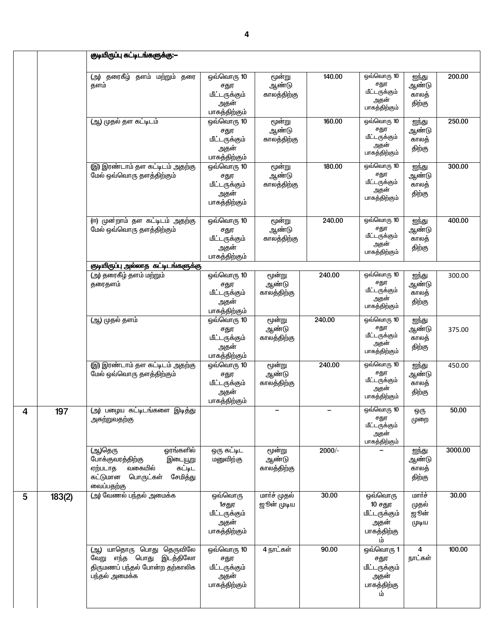|   |        | குடியிருப்பு கட்டிடங்களுக்கு:—                                                                                                         |                                                              |                                |        |                                                                  |                                   |         |
|---|--------|----------------------------------------------------------------------------------------------------------------------------------------|--------------------------------------------------------------|--------------------------------|--------|------------------------------------------------------------------|-----------------------------------|---------|
|   |        | (அ) தரைகீழ் தளம் மற்றும்<br>தரை<br>தளம்                                                                                                | ஒவ்வொரு 10<br>சதுர<br>மீட்டருக்கும்<br>அதன்<br>பாகத்திற்கும் | மூன்று<br>ஆண்டு<br>காலத்திற்கு | 140.00 | ஒவ்வொரு 10<br>சதுர<br>மீட்டருக்கும்<br>அதன்<br>பாகத்திற்கும்     | ஐந்து<br>ஆண்டு<br>காலத்<br>திற்கு | 200.00  |
|   |        | (ஆ) முதல் தள கட்டிடம்                                                                                                                  | ஒவ்வொரு 10<br>சதுர<br>மீட்டருக்கும்<br>அதன்<br>பாகத்திற்கும் | மூன்று<br>ஆண்டு<br>காலத்திற்கு | 160.00 | ஒவ்வொரு 10<br>சதுர<br>மீட்டருக்கும்<br>அதன்<br>பாகத்திற்கும்     | ஐந்து<br>ஆண்டு<br>காலத்<br>திற்கு | 250.00  |
|   |        | (இ) இரண்டாம் தள கட்டிடம் அதற்கு<br>மேல் ஒவ்வொரு தளத்திற்கும்                                                                           | ஒவ்வொரு 10<br>சதுர<br>மீட்டருக்கும்<br>அதன்<br>பாகத்திற்கும் | மூன்று<br>ஆண்டு<br>காலத்திற்கு | 180.00 | ஒவ்வொரு 10<br>சதுர<br>மீட்டருக்கும்<br>அதன்<br>பாகத்திற்கும்     | ஐந்து<br>ஆண்டு<br>காலத்<br>திற்கு | 300.00  |
|   |        | (ஈ) முன்றாம் தள கட்டிடம் அதற்கு<br>மேல் ஒவ்வொரு தளத்திற்கும்                                                                           | ஒவ்வொரு 10<br>சதுர<br>மீட்டருக்கும்<br>அதன்<br>பாகத்திற்கும் | மூன்று<br>ஆண்டு<br>காலத்திற்கு | 240.00 | ஒவ்வொரு 10<br>சதுர<br>மீட்டருக்கும்<br>அதன்<br>பாகத்திற்கும்     | ஐந்து<br>ஆண்டு<br>காலத்<br>திற்கு | 400.00  |
|   |        | குடியிருப்பு அல்லாத கட்டிடங்களுக்கு<br>(அ) தரைகீழ் தளம் மற்றும்<br>தரைதளம்                                                             | ஒவ்வொரு 10<br>சதுர<br>மீட்டருக்கும்<br>அதன்<br>பாகத்திற்கும் | மூன்று<br>ஆண்டு<br>காலத்திற்கு | 240.00 | ஒவ்வொரு 10<br>சதுர<br>மீட்டருக்கும்<br>அதன்<br>பாகத்திற்கும்     | ஐந்து<br>ஆண்டு<br>காலத்<br>திற்கு | 300.00  |
|   |        | (ஆ) முதல் தளம்                                                                                                                         | ஒவ்வொரு 10<br>சதுர<br>மீட்டருக்கும்<br>அதன்<br>பாகத்திற்கும் | மூன்று<br>ஆண்டு<br>காலத்திற்கு | 240.00 | ஒவ்வொரு 10<br>சதுர<br>மீட்டருக்கும்<br>அதன்<br>பாகத்திற்கும்     | ஐந்து<br>ஆண்டு<br>காலத்<br>திற்கு | 375.00  |
|   |        | (இ) இரண்டாம் தள கட்டிடம் அதற்கு<br>மேல் ஒவ்வொரு தளத்திற்கும்                                                                           | ஒவ்வொரு 10<br>சதுர<br>மீட்டருக்கும்<br>அதன்<br>பாகத்திற்கும் | மூன்று<br>ஆண்டு<br>காலத்திற்கு | 240.00 | ஒவ்வொரு 10<br>சதுர<br>மீட்டருக்கும்<br>அதன்<br>பாகத்திற்கும்     | ஐந்து<br>ஆண்டு<br>காலத்<br>திற்கு | 450.00  |
| 4 | 197    | (அ) பழைய கட்டிடங்களை இடித்து<br>அகற்றுவதற்கு                                                                                           |                                                              |                                |        | ஒவ்வொரு 10<br>சதுர<br>மீட்டருக்கும்<br>அதன்<br>பாகத்திற்கும்     | ஒரு<br>முறை                       | 50.00   |
|   |        | (ஆ)தெரு<br>ஓரங்களில்<br>போக்குவரத்திற்கு<br>இடையூறு<br>வகையில்<br>கட்டிட<br>ஏற்படாத<br>சேமித்து<br>கட்டுமான<br>பொருட்கள்<br>வைப்பதற்கு | ஒரு கட்டிட<br>மனுவிற்கு                                      | மூன்று<br>ஆண்டு<br>காலத்திற்கு | 2000/- |                                                                  | ஐந்து<br>ஆண்டு<br>காலத்<br>திற்கு | 3000.00 |
| 5 | 183(2) | (அ) வேணல் பந்தல் அமைக்க                                                                                                                | ஒவ்வொரு<br>1சதுர<br>மீட்டருக்கும்<br>அதன்<br>பாகத்திற்கும்   | மார்ச் முதல்<br>ஜூன் முடிய     | 30.00  | ஒவ்வொரு<br>10 சதுர<br>மீட்டருக்கும்<br>அதன்<br>பாகத்திற்கு<br>ம் | மார்ச்<br>முதல்<br>ஜூள்<br>முடிய  | 30.00   |
|   |        | யாதொரு பொது தெருவிலே<br>(ஆ)<br>வேறு எந்த பொது இடத்திலோ<br>திருமணப் பந்தல் போன்ற தற்காலிக<br>பந்தல் அமைக்க                              | ஒவ்வொரு 10<br>சதுர<br>மீட்டருக்கும்<br>அதன்<br>பாகத்திற்கும் | 4 நாட்கள்                      | 90.00  | ஒவ்வொரு 1<br>சதுர<br>மீட்டருக்கும்<br>அதன்<br>பாகத்திற்கு<br>ம்  | 4<br>நாட்கள்                      | 100.00  |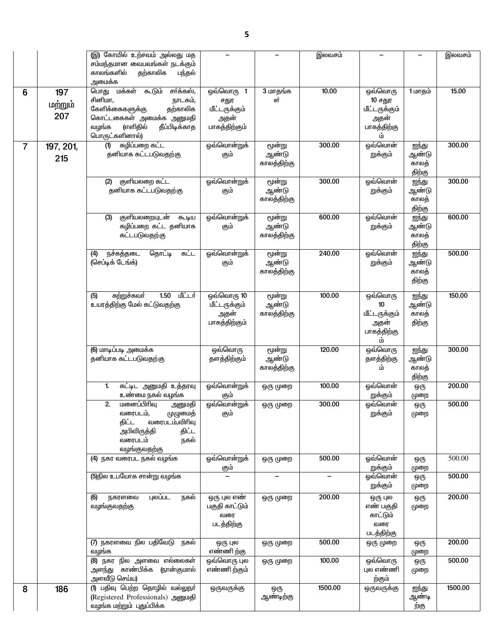|                |                       | (இ) கோயில் உற்சவம் அல்லது மத<br>சம்மந்தமான வைபவங்கள் நடக்கும்<br>காலங்களில்<br>தற்காலிக<br>பந்தல்<br>அமைக்க                                                                 |                                                                             |                                | இலவசம்            |                                                                           |                                   | இலவசம்  |
|----------------|-----------------------|-----------------------------------------------------------------------------------------------------------------------------------------------------------------------------|-----------------------------------------------------------------------------|--------------------------------|-------------------|---------------------------------------------------------------------------|-----------------------------------|---------|
| 6              | 197<br>மற்றும்<br>207 | மக்கள் கூடும்<br>சர்க்கஸ்,<br>பொது<br>சினிமா,<br>நாடகம்,<br>கேளிக்கைகளுக்கு<br>தற்காலிக<br>கொட்டகைகள் அமைக்க அனுமதி<br>(எளிதில்<br>வழங்க<br>தீப்பிடிக்காத<br>பொருட்களினால்) | ஒவ்வொரு<br>$\overline{1}$<br>சதுர<br>மீட்டருக்கும்<br>அதன்<br>பாகத்திற்கும் | 3 மாதங்க<br>ள்                 | 10.00             | ஒவ்வொரு<br>10 சதுர<br>மீட்டருக்கும்<br>அதன்<br>பாகத்திற்கு<br>ம்          | 1 மாதம்                           | 15.00   |
| $\overline{7}$ | 197, 201,<br>215      | கழிப்பறை கட்ட<br>(1)<br>தனியாக கட்டபடுவதற்கு                                                                                                                                | ஓவ்வொன்றுக்<br>கும்                                                         | மூன்று<br>ஆண்டு<br>காலத்திற்கு | 300.00            | ஓவ்வொன்<br>றுக்கும்                                                       | ஐந்து<br>ஆண்டு<br>காலத்<br>திற்கு | 300.00  |
|                |                       | குளியலறை கட்ட<br>(2)<br>தனியாக கட்டபடுவதற்கு                                                                                                                                | ஒவ்வொன்றுக்<br>கும்                                                         | மூன்று<br>ஆண்டு<br>காலத்திற்கு | 300.00            | ஓவ்வொன்<br>றுக்கும்                                                       | ஐந்து<br>ஆண்டு<br>காலத்<br>திற்கு | 300.00  |
|                |                       | குளியலறையுடன்<br>(3)<br>கூடிய<br>கழிப்பறை கட்ட தனியாக<br>கட்டபடுவதற்கு                                                                                                      | ஓவ்வொன்றுக்<br>கும்                                                         | மூன்று<br>ஆண்டு<br>காலத்திற்கு | 600.00            | ஓவ்வொன்<br>றுக்கும்                                                       | ஐந்து<br>ஆண்டு<br>காலத்<br>திற்கு | 600.00  |
|                |                       | கட்ட<br>நச்சுத்தடை<br>தொட்டி<br>(4)<br>(செப்டிக் டேங்க்)                                                                                                                    | ஓவ்வொன்றுக்<br>கும்                                                         | மூன்று<br>ஆண்டு<br>காலத்திற்கு | 240.00            | ஓவ்வொன்<br>றுக்கும்                                                       | ஐந்து<br>ஆண்டு<br>காலத்<br>திற்கு | 500.00  |
|                |                       | மீட்டர்<br>1.50<br>சுற்றுச்சுவா்<br>(5)<br>உயரத்திற்கு மேல் கட்டுவதற்கு                                                                                                     | ஒவ்வொரு 10<br>மீட்டருக்கும்<br>அதன்<br>பாகத்திற்கும்                        | மூன்று<br>ஆண்டு<br>காலத்திற்கு | 100.00            | ஒவ்வொரு<br>10 <sup>10</sup><br>மீட்டருக்கும்<br>அதன்<br>பாகத்திற்கு<br>ம் | ஐந்து<br>ஆண்டு<br>காலத்<br>திற்கு | 150.00  |
|                |                       | (6) மாடிப்படி அமைக்க<br>தனியாக கட்டபடுவதற்கு                                                                                                                                | ஒவ்வொரு<br>தளத்திற்கும்                                                     | மூன்று<br>ஆண்டு<br>காலத்திற்கு | 120.00            | ஒவ்வொரு<br>தளத்திற்கு<br>ம்                                               | ஐந்து<br>ஆண்டு<br>காலத்<br>திற்கு | 300.00  |
|                |                       | கட்டிட அனுமதி உத்தரவு<br>1.<br>உண்மை நகல் வழங்க                                                                                                                             | ஓவ்வொன்றுக்<br>கும்                                                         | ஒரு முறை                       | 100.00            | ஓவ்வொன்<br>றுக்கும்                                                       | ஒரு<br>முறை                       | 200.00  |
|                |                       | 2.<br>மனைப்பிரிவு<br>அனுமதி<br>வரைபடம்,<br>முழுமைத்<br>திட்ட<br>வரைபடம்,விரிவு<br>அபிவிருத்தி<br>திட்ட<br>நகல்<br>வரைபடம்<br>வழங்குவதற்கு                                   | ஒவ்வொன்றுக்<br>கும்                                                         | ஒரு முறை                       | 300.00            | ஒவ்வொன்<br>றுக்கும்                                                       | ஒரு<br>முறை                       | 500.00  |
|                |                       | (4) நகர வரைபட நகல் வழங்க                                                                                                                                                    | ஓவ்வொன்றுக்<br>கும்                                                         | ஒரு முறை                       | 500.00            | ஓவ்வொன்<br>றுக்கும்                                                       | ஒரு<br>முறை                       | 500.00  |
|                |                       | (5)நில உபயோக சான்று வழங்க                                                                                                                                                   |                                                                             | $\qquad \qquad -$              | $\qquad \qquad -$ | ஒவ்வொன்<br>றுக்கும்                                                       | ஒரு<br>முறை                       | 500.00  |
|                |                       | புலப்பட<br>(6)<br>நகரளவை<br>நகல்<br>வழங்குவதற்கு                                                                                                                            | ஒரு புல எண்<br>பகுதி காட்டும்<br>வரை<br>படத்திற்கு                          | ஒரு முறை                       | 200.00            | ஒரு புல<br>எண் பகுதி<br>காட்டும்<br>வரை<br>படத்திற்கு                     | ஒரு<br>முறை                       | 200.00  |
|                |                       | (7) நகரளவை நில பதிவேடு<br>நகல்<br>வழங்க                                                                                                                                     | ஒரு புல<br>எண்ணி ற்கு                                                       | ஒரு முறை                       | 500.00            | ஒரு முறை                                                                  | ஒரு<br>முறை                       | 200.00  |
|                |                       | (8) நகர நில அளவை எல்லைகள்<br>அளந்து காண்பிக்க (நான்குமால்<br>அளவீடு செய்ய)                                                                                                  | ஒவ்வொரு புல<br>எண்ணி ற்கும்                                                 | ஒரு முறை                       | 100.00            | ஒவ்வொரு<br>புல எண்ணி<br>ற்கும்                                            | ஒரு<br>முறை                       | 500.00  |
| 8              | 186                   | (1) பதிவு பெற்ற தொழில் வல்லுநா்<br>(Registered Professionals) அனுமதி<br>வழங்க மற்றும் புதுப்பிக்க                                                                           | ஒருவருக்கு                                                                  | ஒரு<br>ஆண்டிற்கு               | 1500.00           | ஒருவருக்கு                                                                | ஐந்து<br>ஆண்டி<br>ற்கு            | 1500.00 |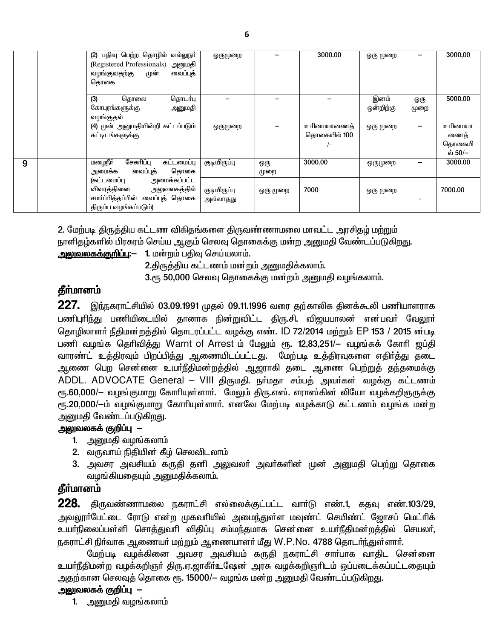|   | (2) பதிவு பெற்ற தொழில் வல்லுநா்<br>(Registered Professionals) அனுமதி<br>வழங்குவதற்கு முன்<br>வைப்புத்<br>தொகை      | ஒருமுறை                  |             | 3000.00                              | ஓரு முறை          |             | 3000,00                              |
|---|--------------------------------------------------------------------------------------------------------------------|--------------------------|-------------|--------------------------------------|-------------------|-------------|--------------------------------------|
|   | (3)<br>தொடர்பு<br>தொலை<br>கோபுரங்களுக்கு<br>அனுமதி<br>வழங்குதல்                                                    |                          |             |                                      | இனம்<br>ஒன்றிற்கு | ஓரு<br>முறை | 5000.00                              |
|   | (4) முன் அனுமதியின்றி கட்டப்படும்<br>கட்டிடங்களுக்கு                                                               | ஒருமுறை                  |             | உரிமையாணைத்<br>தொகையில் 100<br>$/$ - | ஒரு முறை          |             | உரிமையா<br>ணைத்<br>தொகையி<br>ல் 50/– |
| 9 | சேகரிப்பு<br>மழைநீர்<br>கட்டமைப்பு<br>வைப்புத்<br>தொகை<br>அமைக்க                                                   | குடியிருப்பு             | ஒரு<br>முறை | 3000.00                              | ஒருமுறை           |             | 3000.00                              |
|   | அமைக்கப்பட்ட<br>(கட்டமைப்பு<br>விவரத்தினை அலுவலகத்தில்<br>சமா்ப்பித்தப்பின் வைப்புத் தொகை<br>திரும்ப வழங்கப்படும்) | குடியிருப்பு<br>அல்லாதது | ஒரு முறை    | 7000                                 | ஒரு முறை          |             | 7000.00                              |

2. மேற்படி திருத்திய கட்டண விகிதங்களை திருவண்ணாமலை மாவட்ட அரசிதழ் மற்றும் நாளிதழ்களில் பிரசுரம் செய்ய ஆகும் செலவு தொகைக்கு மன்ற அனுமதி வேண்டப்படுகிறது.

அலுவலகக்குறிப்பு:— 1. மன்றம் பதிவு செய்யலாம்.

2.திருத்திய கட்டணம் மன்றம் அனுமதிக்கலாம்.

3.ரூ 50,000 செலவு தொகைக்கு மன்றம் அனுமதி வழங்கலாம்.

## தீர்மானம்

227. இந்நகராட்சியில் 03.09.1991 முதல் 09.11.1996 வரை தற்காலிக தினக்கூலி பணியாளராக பணிபுரிந்து பணியிடையில் தானாக நின்றுவிட்ட திரு.சி. விஜயபாலன் என்பவர் வேலூர் தொழிலாளா் நீதிமன்றத்தில் தொடரப்பட்ட வழக்கு எண். ID 72/2014 மற்றும் EP 153 / 2015 ன்படி பணி வழங்க தெரிவித்து Warnt of Arrest ம் மேலும் ரூ. 12,83,251/– வழங்கக் கோரி ஜப்தி வாரண்ட் உத்திரவும் பிறப்பித்து ஆணையிடப்பட்டது. மேற்படி உத்திரவுகளை எதிர்த்து தடை ஆணை பெற சென்னை உயா்நீதிமன்றத்தில் ஆஜராகி தடை ஆணை பெற்றுத் தந்தமைக்கு ADDL. ADVOCATE General - VIII திருமதி. நா்மதா சம்பத் அவா்கள் வழக்கு கட்டணம் ரூ.60,000/— வழங்குமாறு கோரியுள்ளாா். மேலும் திரு.எஸ். எராஸ்கின் லியோ வழக்கறிஞருக்கு ரு. 20,000/-ம் வழங்குமாறு கோரியுள்ளார். எனவே மேற்படி வழக்காடு கட்டணம் வழங்க மன்ற அனுமதி வேண்டப்படுகிறது.

#### அலுவலகக் குறிப்பு —

- 1. அனுமதி வழங்கலாம்
- 2. வருவாய் நிதியின் கீழ் செலவிடலாம்
- 3. அவசர அவசியம் கருதி தனி அலுவலா் அவா்களின் முன் அனுமதி பெற்று தொகை வழங்கியதையும் அனுமதிக்கலாம்.

## தீர்மானம்

228. திருவண்ணாமலை நகராட்சி எல்லைக்குட்பட்ட வார்டு எண்.1, கதவு எண்.103/29, அவலூா்பேட்டை ரோடு என்ற முகவாியில் அமைந்துள்ள மவுண்ட் செயிண்ட் ஜோசப் மெட்ாிக் உயாநிலைப்பள்ளி சொத்துவரி விதிப்பு சம்மந்தமாக சென்னை உயாநீதிமன்றத்தில் செயலா், நகராட்சி நிர்வாக ஆணையர் மற்றும் ஆணையாளர் மீது W.P.No. 4788 தொடர்ந்துள்ளார்.

மேற்படி வழக்கினை அவசர அவசியம் கருதி நகராட்சி சாா்பாக வாதிட சென்னை உயா்நீதிமன்ற வழக்கறிஞா் திரு.ஏ.ஜாகீா்உஷேன் அரசு வழக்கறிஞாிடம் ஒப்படைக்கப்பட்டதையும் அதற்கான செலவுத் தொகை ரூ. 15000/— வழங்க மன்ற அனுமதி வேண்டப்படுகிறது.

### அலுவலகக் குறிப்பு —

1. அனுமதி வழங்கலாம்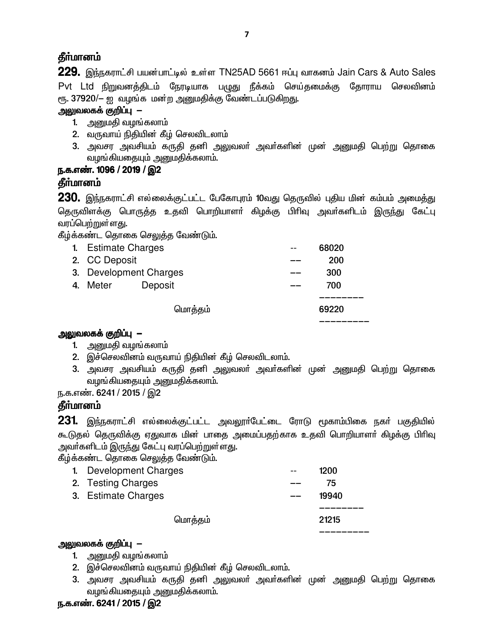## **தீர்மானம்**

 $229.$  இந்நகராட்சி பயன்பாட்டில் உள்ள TN25AD 5661 ஈப்பு வாகனம் Jain Cars & Auto Sales Pvt Ltd நிறுவனத்திடம் நேரடியாக பழுது நீக்கம் செய்தமைக்கு தோராய செலவினம் ரூ. 37920/– ஐ வழங்க மன்ற அனுமதிக்கு வேண்டப்படுகிறது.

### அலுவலகக் குறிப்பு —

- 1. அனுமதி வழங்கலாம்
- 2. வருவாய் நிதியின் கீழ் செலவிடலாம்
- 3. அவசர அவசியம் கருதி தனி அலுவலா் அவா்களின் முன் <u>அனு</u>மதி பெற்று தொகை வழங்கியதையும் அனுமதிக்கலாம்.

### ந.க.எண். 1096 / 2019 / இ2

# தீர்மானம்

 $230$ . இந்நகராட்சி எல்லைக்குட்பட்ட பேகோபுரம் 10வது தெருவில் புதிய மின் கம்பம் அமைத்து தெருவிளக்கு பொருத்த உதவி பொறியாளா் கிழக்கு பிாிவு அவா்களிடம் இருந்து கேட்பு வரப்பெற்றுள்ளது.

கீழ்க்கண்ட தொகை செலுத்த வேண்டும்.

| 1. Estimate Charges    |         |         | 68020 |
|------------------------|---------|---------|-------|
| 2. CC Deposit          |         |         | 200   |
| 3. Development Charges |         |         | 300   |
| 4. Meter               | Deposit |         | 700   |
|                        |         |         |       |
|                        |         | மொத்தம் | 69220 |
|                        |         |         |       |

### அலுவலகக் குறிப்பு $-$

- 1. அனுமதி வழங்கலாம்
- 2. இச்செலவினம் வருவாய் நிதியின் கீழ் செலவிடலாம்.
- 3. அவசர அவசியம் கருதி தனி அலுவலா் அவா்களின் முன் அனுமதி பெற்று தொகை வழங்கியதையும் அனுமதிக்கலாம்.

ந.க.எண். 6241 / 2015 / இ2

## தீர்மானம்

 $231$ . இந்நகராட்சி எல்லைக்குட்பட்ட அவலூா்பேட்டை ரோடு மூகாம்பிகை நகா் பகுதியில் கூடுதல் தெருவிக்கு ஏதுவாக மின் பாதை அமைப்பதற்காக உதவி பொறியாளா் கிழக்கு பிாிவு அவா்களிடம் இருந்து கேட்பு வரப்பெற்றுள்ளது.

ு.<br>கீம்க்கண்ட தொகை செலுத்த வேண்டும்.

| மொத்தம்                | 21215 |
|------------------------|-------|
|                        |       |
| 3. Estimate Charges    | 19940 |
| 2. Testing Charges     | 75    |
| 1. Development Charges | 1200  |
|                        |       |

#### அலுவலகக் குறிப்பு $-$

- 1. அனுமதி வழங்கலாம்
- 2. இச்செலவினம் வருவாய் நிதியின் கீழ் செலவிடலாம்.
- 3. அவசர அவசியம் கருதி தனி அலுவலா் அவா்களின் முன் அனுமதி பெற்று தொகை வழங்கியதையும் அனுமதிக்கலாம்.

#### ந.க.எண். 6241 / 2015 / இ2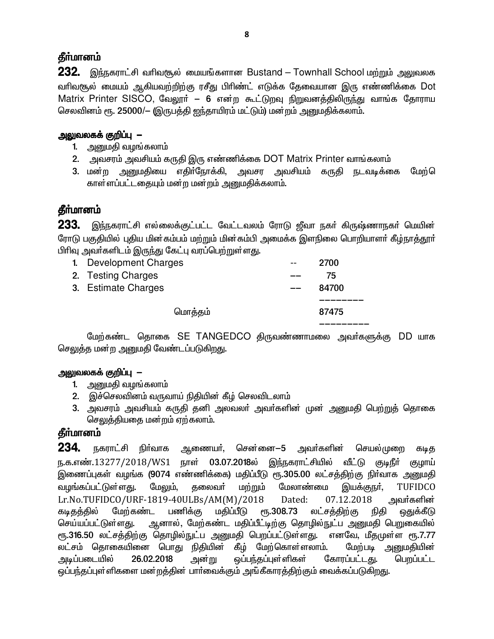## தீர்மானம்

232. இந்நகராட்சி வரிவசூல் மையங்களான Bustand – Townhall School மற்றும் அலுவலக வரிவசூல் மையம் ஆகியவற்றிற்கு ரசீது பிரிண்ட் எடுக்க தேவையான இரு எண்ணிக்கை Dot Matrix Printer SISCO, வேலூர் – 6 என்ற கூட்டுறவு நிறுவனத்திலிருந்து வாங்க தோராய செலவினம் ரூ. 25000/— (இருபத்தி ஐந்தாயிரம் மட்டும்) மன்றம் அனுமதிக்கலாம்.

### <u> அலுவலகக் குறிப்பு</u> —

- 1. அனுமதி வழங்கலாம்
- 2. அவசரம் அவசியம் கருதி இரு எண்ணிக்கை DOT Matrix Printer வாங்கலாம்
- அவசர அவசியம் கருதி நடவடிக்கை மேற்ெ 3. மன்ற அனுமதியை எதிர்நோக்கி, காள்ளப்பட்டதையும் மன்ற மன்றம் அனுமதிக்கலாம்.

# தீர்மானம்

233. இந்நகராட்சி எல்லைக்குட்பட்ட வேட்டவலம் ரோடு ஜீவா நகா் கிருஷ்ணாநகா் மெயின் ரோடு பகுதியில் புதிய மின்கம்பம் மற்றும் மின்கம்பி அமைக்க இளநிலை பொறியாளா் கீழ்நாத்தூா் பிரிவு அவர்களிடம் இருந்து கேட்பு வரப்பெற்றுள்ளது.

| 1. Development Charges | $- -$ | 2700  |
|------------------------|-------|-------|
| 2. Testing Charges     |       | 75    |
| 3. Estimate Charges    |       | 84700 |
|                        |       |       |
| மொத்தம்                |       | 87475 |
|                        |       |       |

மேற்கண்ட தொகை SE TANGEDCO திருவண்ணாமலை அவா்களுக்கு DD யாக செலுத்த மன்ற அனுமதி வேண்டப்படுகிறது.

# அலுவலகக் குறிப்பு —

- 1. அனுமதி வழங்கலாம்
- 2. இச்செலவினம் வருவாய் நிதியின் கீழ் செலவிடலாம்
- 3. அவசரம் அவசியம் கருதி தனி அலவலா் அவா்களின் முன் அனுமதி பெற்றுத் தொகை செலுத்தியதை மன்றம் ஏற்கலாம்.

# **கீர்மானம்**

234. நகராட்சி நிர்வாக ஆணையா், சென்னை—5 அவா்களின் செயல்முறை கடித ந.க.எண்.13277/2018/WS1 நாள் 03.07.2018ல் இந்நகராட்சியில் வீட்டு குடிநீா் குழாய் இணைப்புகள் வழங்க (9074 எண்ணிக்கை) மதிப்பீடு ரூ.305.00 லட்சத்திற்கு நிா்வாக அனுமதி மற்றும் இயக்குநா், <u>வழங்கப்பட்டுள்ளது.</u> மேலும், கலைவா் மேலாண்மை **TUFIDCO** Lr.No.TUFIDCO/URF-1819-40ULBs/AM(M)/2018 Dated: 07.12.2018 அவா்களின் மேற்கண்ட РҦ.308.73 கடிகக்கில் பணிக்கு மகிப்பீடு லட்சத்திற்கு நிகி ஒதுக்கீடு ஆனால், மேற்கண்ட மதிப்பீட்டிற்கு தொழில்நுட்ப அனுமதி பெறுகையில் செய்யப்பட்டுள்ளது. ரூ.316.50 லட்சத்திற்கு தொழில்நுட்ப அனுமதி பெறப்பட்டுள்ளது. எனவே, மீதமுள்ள ரூ.7.77 லட்சம் தொகையினை பொது நிதியின் கீழ் மேற்கொள்ளலாம். மேற்படி அறுமகியின் 26.02.2018 ஒப்பந்தப்புள்ளிகள் பெறப்பட்ட அடிப்படையில் அன்று கோரப்பட்டது. ஒப்பந்தப்புள்ளிகளை மன்றத்தின் பார்வைக்கும் அங்கீகாரத்திற்கும் வைக்கப்படுகிறது.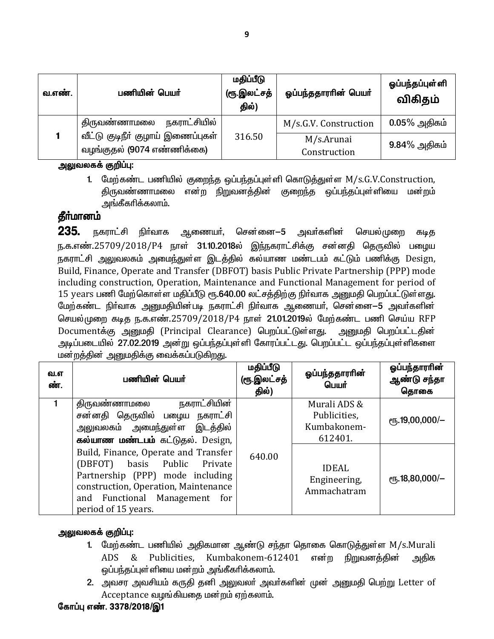| வ.எண். | பணியின் பெயர்                                                   | மதிப்பீடு<br>(ரூ.இலட்சத்<br>தில்) | ஓப்பந்ததாரரின் பெயர்       | ஓப்பந்தப்புள் ளி<br>விகிதம் |
|--------|-----------------------------------------------------------------|-----------------------------------|----------------------------|-----------------------------|
|        | நகராட்சியில்<br>திருவண்ணாமலை                                    |                                   | M/s.G.V. Construction      | $0.05\%$ அதிகம்             |
|        | வீட்டு குடிநீர் குழாய் இணைப்புகள்<br>வழங்குதல் (9074 எண்ணிக்கை) | 316.50                            | M/s.Arunai<br>Construction | $9.84\%$ அதிகம்             |

#### அலுவலகக் குறிப்பு:

1. மேற்கண்ட பணியில் குறைந்த ஒப்பந்தப்புள்ளி கொடுத்துள்ள M/s.G.V.Construction, திருவண்ணாமலை என்ற நிறுவனத்தின் குறைந்த ஒப்பந்தப்புள்ளியை மன்றம் அங்கீகரிக்கலாம்.

# தீா்மானம்

235. நகராட்சி நிர்வாக ஆணையா், சென்னை—5 அவா்களின் செயல்முறை கடிக ந.க.எண்.25709/2018/P4 நாள் **31.10.2018**ல் இந்நகராட்சிக்கு சன்னதி தெருவில் பழைய நகராட்சி அலுவலகம் அமைந்துள்ள இடத்தில் கல்யாண மண்டபம் கட்டும் பணிக்கு Design, Build, Finance, Operate and Transfer (DBFOT) basis Public Private Partnership (PPP) mode including construction, Operation, Maintenance and Functional Management for period of 15 years பணி மேற்கொள்ள மதிப்பீடு ரூ.640.00 லட்சத்திற்கு நிர்வாக அனுமதி பெறப்பட்டுள்ளது. மேற்கண்ட நிா்வாக அனுமதியின்படி நகராட்சி நிா்வாக ஆணையா், சென்னை—5 அவா்களின் செயல்முறை கடித ந.க.எண்.25709/2018/P4 நாள் 21.01.2019ல் மேற்கண்ட பணி செய்ய RFP Documentக்கு அனுமதி (Principal Clearance) பெறப்பட்டுள்ளது. அனுமதி பெறப்பட்டதின் அடிப்படையில் 27.02.2019 அன்று ஒப்பந்தப்புள்ளி கோரப்பட்டது. பெறப்பட்ட ஒப்பந்தப்புள்ளிகளை மன்றத்தின் அனுமதிக்கு வைக்கப்படுகிறது.

| வ.எ<br>ண். | பணியின் பெயர்                                                                                                                                                                                               | மதிப்பீடு<br>(ரூ.இலட்சத்<br>தில்) | ஒப்பந்ததாராின்<br>பெயர்                                | ஒப்பந்தாரரின்<br>ஆண்டு சந்தா<br>தொகை |
|------------|-------------------------------------------------------------------------------------------------------------------------------------------------------------------------------------------------------------|-----------------------------------|--------------------------------------------------------|--------------------------------------|
|            | நகராட்சியின்<br>திருவண்ணாமலை<br>சன்னதி தெருவில் பழைய நகராட்சி<br><u>அலுவலகம் அமைந்துள்ள இடத்தில்</u><br>கல்யாண மண்டபம் கட்டுதல். Design,                                                                    |                                   | Murali ADS &<br>Publicities,<br>Kumbakonem-<br>612401. | $\epsilon$ гҕ.19,00,000/-            |
|            | Build, Finance, Operate and Transfer<br>(DBFOT) basis Public Private<br>Partnership (PPP) mode including<br>construction, Operation, Maintenance<br>and Functional Management<br>for<br>period of 15 years. | 640.00                            | <b>IDEAL</b><br>Engineering,<br>Ammachatram            | ரூ.18,80,000/-                       |

#### அலுவலகக் குறிப்பு:

- 1. மேற்கண்ட பணியில் அதிகமான ஆண்டு சந்தா தொகை கொடுத்துள்ள M/s.Murali Kumbakonem-612401 ADS Publicities. என்ற நிறுவனத்தின் - & அதிக ஒப்பந்தப்புள்ளியை மன்றம் அங்கீகரிக்கலாம்.
- 2. அவசர அவசியம் கருதி தனி அலுவலர் அவர்களின் முன் அனுமதி பெற்று Letter of Acceptance வழங்கியதை மன்றம் ஏற்கலாம்.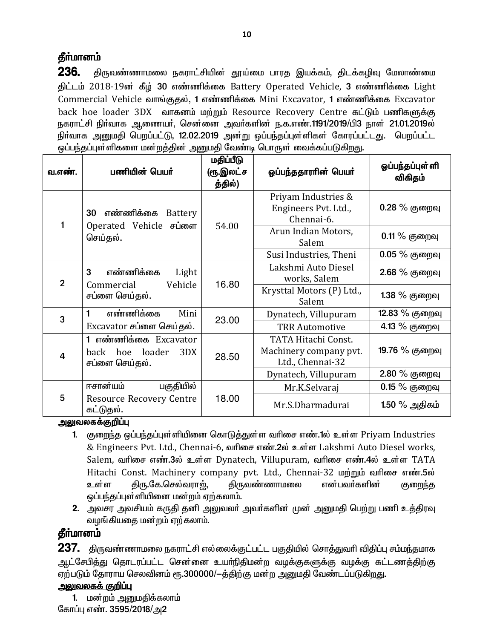236. திருவண்ணாமலை நகராட்சியின் தூய்மை பாரத இயக்கம், திடக்கழிவு மேலாண்மை திட்டம் 2018-19ன் கீழ் 30 எண்ணிக்கை Battery Operated Vehicle, 3 எண்ணிக்கை Light Commercial Vehicle வாங்குதல், 1 எண்ணிக்கை Mini Excavator, 1 எண்ணிக்கை Excavator back hoe loader 3DX வாகனம் மற்றும் Resource Recovery Centre கட்டும் பணிகளுக்கு நகராட்சி நிர்வாக ஆணையர், சென்னை அவர்களின் ந.க.எண்.1191/2019/பி3 நாள் 21.01.2019ல் நிர்வாக அனுமதி பெறப்பட்டு, 12.02.2019 அன்று ஒப்பந்தப்புள்ளிகள் கோரப்பட்டது. பெறப்பட்ட ஒப்பந்தப்புள்ளிகளை மன்றத்தின் அனுமதி வேண்டி பொருள் வைக்கப்படுகிறது.

| வ.எண்.         | பணியின் பெயர்                                                        | மதிப்பீடு<br>(ரூ.இலட்ச<br>த்தில்) | ஓப்பந்ததாரரின் பெயர்                                              | ஓப்பந்தப்புள்ளி<br>விகிதம் |
|----------------|----------------------------------------------------------------------|-----------------------------------|-------------------------------------------------------------------|----------------------------|
|                | எண்ணிக்கை<br>Battery<br>30                                           |                                   | Priyam Industries &<br>Engineers Pvt. Ltd.,<br>Chennai-6.         | $0.28\%$ குறைவு            |
|                | Operated Vehicle சப்ளை<br>செய்தல்.                                   | 54.00                             | Arun Indian Motors,<br>Salem                                      | $0.11\%$ குறைவு            |
|                |                                                                      |                                   | Susi Industries, Theni                                            | $0.05%$ குறைவு             |
| $\overline{2}$ | 3<br>எண்ணிக்கை<br>Light<br>Vehicle                                   | 16.80                             | Lakshmi Auto Diesel<br>works, Salem                               | 2.68 % குறைவு              |
|                | Commercial<br>சப்ளை செய்தல்.                                         |                                   | Krysttal Motors (P) Ltd.,<br>Salem                                | 1.38 % குறைவு              |
| 3              | எண்ணிக்கை<br>Mini                                                    | 23.00                             | Dynatech, Villupuram                                              | 12.83 % குறைவு             |
|                | Excavator சப்ளை செய்தல்.                                             |                                   | <b>TRR Automotive</b>                                             | 4.13 % குறைவு              |
| 4              | 1 எண்ணிக்கை Excavator<br>hoe loader<br>3DX<br>back<br>சப்ளை செய்தல். | 28.50                             | TATA Hitachi Const.<br>Machinery company pvt.<br>Ltd., Chennai-32 | 19.76 % குறைவு             |
|                |                                                                      |                                   | Dynatech, Villupuram                                              | 2.80 % குறைவு              |
|                | ஈசான்யம்<br>பகுதியில்                                                |                                   | Mr.K.Selvaraj                                                     | $0.15\%$ குறைவு            |
| 5              | <b>Resource Recovery Centre</b><br>கட்டுதல்.                         | 18.00                             | Mr.S.Dharmadurai                                                  | 1.50 % அதிகம்              |

#### அலுவலகக்குறிப்பு

- 1. குறைந்த ஒப்பந்தப்புள்ளியினை கொடுத்துள்ள வரிசை எண்.1ல் உள்ள Priyam Industries & Engineers Pvt. Ltd., Chennai-6, ณท์โดง ส สต์ท.2ல் உள்ள Lakshmi Auto Diesel works, Salem, வரிசை எண்.3ல் உள்ள Dynatech, Villupuram, வரிசை எண்.4ல் உள்ள TATA Hitachi Const. Machinery company pvt. Ltd., Chennai-32 மற்றும் வரிசை எண்.5ல் உள்ள திரு.கே.செல்வராற், <u> கிருவண்ணாமலை</u> என்பவர்களின் குறைந்த ஒப்பந்தப்புள்ளியினை மன்றம் ஏற்கலாம்.
- **2**. அவசர அவசியம் கருதி தனி அலுவலா் அவா்களின் முன் அனுமதி பெற்று பணி உத்திரவு வழங்கியதை மன்றம் ஏற்கலாம்.

### தீா்மானம்

 $237.$  திருவண்ணாமலை நகராட்சி எல்லைக்குட்பட்ட பகுதியில் சொத்துவரி விதிப்பு சம்மந்தமாக ஆட்சேபித்து தொடரப்பட்ட சென்னை உயாநிதிமன்ற வழக்குகளுக்கு வழக்கு கட்டணத்திற்கு ஏற்படும் தோராய செலவினம் ரூ.300000/-த்திற்கு மன்ற அனுமதி வேண்டப்படுகிறது.

#### <u>அலுவலகக் குறிப்பு</u>

1. மன்றம் அனுமதிக்கலாம் கோப்பு எண். 3595/2018/அ2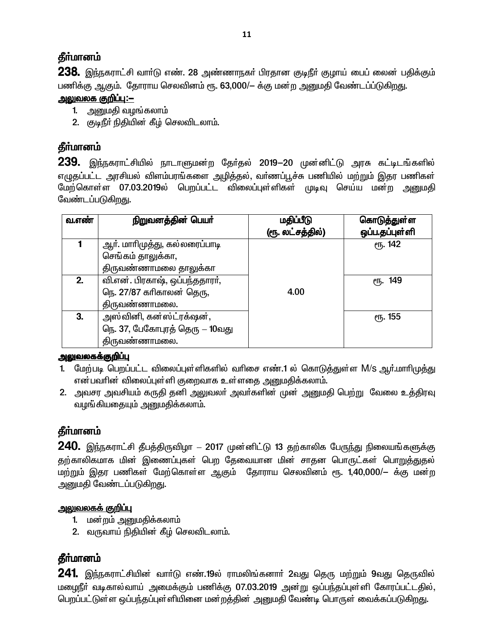238. இந்நகராட்சி வார்டு எண். 28 அண்ணாநகர் பிரதான குடிநீர் குழாய் பைப் லைன் பதிக்கும் பணிக்கு ஆகும். தோராய செலவினம் ரூ. 63,000/— க்கு மன்ற அனுமதி வேண்டப்ப்டுகிறது.

### <u> அலுவலக குறிப்ப:–</u>

- 1. அனுமதி வழங்கலாம்
- 2. குடிநீர் நிதியின் கீழ் செலவிடலாம்.

# கீர்மானம்

239. இந்நகராட்சியில் நாடாளுமன்ற தேர்தல் 2019—20 முன்னிட்டு அரசு கட்டிடங்களில் எழுதப்பட்ட அரசியல் விளம்பரங்களை அழித்தல், வா்ணப்பூச்சு பணியில் மற்றும் இதர பணிகள் மேற்கொள்ள 07.03.2019ல் பெறப்பட்ட விலைப்புள்ளிகள் முடிவு செய்ய மன்ற அனுமதி வேண்டப்படுகிறது.

| வ.எண் | நிறுவனத்தின் பெயர்             | மதிப்பீடு        | கொடுத்துள்ள         |
|-------|--------------------------------|------------------|---------------------|
|       |                                | (ரூ. லட்சத்தில்) | ஒப்ப.தப்புள்ளி      |
|       | ஆா். மாாிமுத்து, கல்லரைப்பாடி  |                  | ரு. 142             |
|       | செங்கம் தாலுக்கா,              |                  |                     |
|       | திருவண்ணாமலை தாலுக்கா          |                  |                     |
| 2.    | வி.என். பிரகாஷ், ஒப்பந்ததாரா், |                  | <sub>(</sub> դ. 149 |
|       | நெ. 27/87 கரிகாலன் தெரு,       | 4.00             |                     |
|       | திருவண்ணாமலை.                  |                  |                     |
| 3.    | அஸ்வினி, கன்ஸ்ட்ரக்ஷன்,        |                  | <b>е</b> ђ. 155     |
|       | நெ. 37, பேகோபுரத் தெரு – 10வது |                  |                     |
|       | திருவண்ணாமலை.                  |                  |                     |

#### <u>அலுவலகக்குறிப்பு</u>

- 1. மேற்படி பெறப்பட்ட விலைப்புள்ளிகளில் வரிசை எண்.1 ல் கொடுக்குள்ள M/S ஆர்.மாரிமுக்கும என்பவரின் விலைப்புள்ளி குறைவாக உள்ளதை அனுமதிக்கலாம்.
- 2. அவசர அவசியம் கருதி தனி அலுவலா் அவா்களின் முன் அனுமதி பெற்று வேலை உத்திரவு வழங்கியதையும் அனுமதிக்கலாம்.

# தீர்மானம்

240. இந்நகராட்சி தீபத்திருவிழா – 2017 முன்னிட்டு 13 தற்காலிக பேருந்து நிலையங்களுக்கு தற்காலிகமாக மின் இணைப்புகள் பெற தேவையான மின் சாதன பொருட்கள் பொறுத்துதல் மற்றும் இதர பணிகள் மேற்கொள்ள ஆகும் கோராய செலவினம் ரூ. 1,40,000/– க்கு மன்ற அனுமதி வேண்டப்படுகிறது.

## <u>அலுவலகக் குறிப்பு</u>

- 1. மன்றம் அனுமதிக்கலாம்
- 2. வருவாய் நிதியின் கீழ் செலவிடலாம்.

# தீர்மானம்

 $241$ . இந்நகராட்சியின் வாா்டு எண்.19ல் ராமலிங்கனாா் 2வது தெரு மற்றும் 9வது தெருவில் மழைநீா் வடிகால்வாய் அமைக்கும் பணிக்கு 07.03.2019 அன்று ஒப்பந்தப்புள்ளி கோரப்பட்டதில், பெறப்பட்டுள்ள ஒப்பந்தப்புள்ளியினை மன்றத்தின் அனுமதி வேண்டி பொருள் வைக்கப்படுகிறது.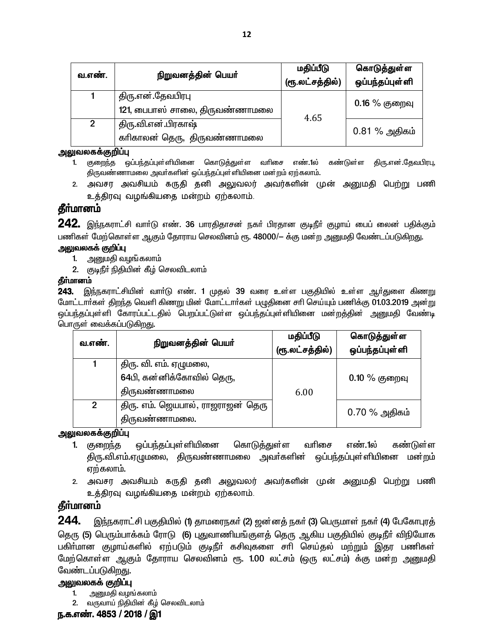| வ.எண்.         | நிறுவனத்தின் பெயர்                                  | மதிப்பீடு<br>(ரூ.லட்சத்தில்) | கொடுத்துள்ள<br>ஒப்பந்தப்புள்ளி |
|----------------|-----------------------------------------------------|------------------------------|--------------------------------|
|                | திரு.என்.தேவபிரபு<br>121, பைபாஸ் சாலை, திருவண்ணாமலை | 4.65                         | $0.16\%$ குறைவு                |
| $\overline{2}$ | திரு.வி.என்.பிரகாஷ்<br>காிகாலன் தெரு, திருவண்ணாமலை  |                              | $0.81\%$ அதிகம்                |

#### அலுவலகக்குறிப்பு

- 1. குறைந்த ஒப்பந்தப்புள்ளியினை கொடுத்துள்ள வரிசை எண்.1ல் கண்டுள்ள திரு.என்.தேவபிரபு, திருவண்ணாமலை அவர்களின் ஒப்பந்தப்புள்ளியினை மன்றம் ஏற்கலாம்.
- 2. அவசர அவசியம் கருதி தனி அலுவலர் அவர்களின் முன் அனுமதி பெற்று பணி உத்திரவு வழங்கியதை மன்றம் ஏற்கலாம்.

## தீா்மானம்

**242.** இந்நகராட்சி வாா்டு எண். 36 பாரதிதாசன் நகா் பிரதான குடிநீா் குழாய் பைப் லைன் பதிக்கும் பணிகள் மேற்கொள்ள ஆகும் தோராய செலவினம் ரூ. 48000/— க்கு மன்ற அனுமதி வேண்டப்படுகிறது.

#### அலுவலகக் குறிப்பு

- 1. அனுமதி வழங்கலாம்
- 2. குடிநீா் நிதியின் கீழ் செலவிடலாம்

#### தீர்மானம்

243. இந்நகராட்சியின் வாா்டு எண். 1 முதல் 39 வரை உள்ள பகுதியில் உள்ள ஆா்துளை கிணறு மோட்டார்கள் திறந்த வெளி கிணறு மின் மோட்டார்கள் பழுதினை சரி செய்யும் பணிக்கு 01.03.2019 அன்று ஒப்பந்தப்புள்ளி கோரப்பட்டதில் பெறப்பட்டுள்ள ஒப்பந்தப்புள்ளியினை மன்றத்தின் அனுமதி வேண்டி பொருள் வைக்கப்படுகிறது.

| வ.எண்.         | நிறுவனத்தின் பெயர்                                 | மதிப்பீடு | கொடுத்துள்ள     |
|----------------|----------------------------------------------------|-----------|-----------------|
|                |                                                    |           | ஒப்பந்தப்புள்ளி |
|                | திரு. வி. எம். ஏழுமலை,                             |           |                 |
|                | 64பி, கன்னிக்கோவில் தெரு,                          |           | $0.10\%$ குறைவு |
|                | திருவண்ணாமலை                                       | 6.00      |                 |
| $\mathfrak{p}$ | திரு. எம். ஜெயபால், ராஜராஜன் தெரு<br>திருவண்ணாமலை. |           | $0.70\%$ அதிகம் |

அலுவலகக்குறிப்பு

- ஒப்பந்தப்புள்ளியினை கொடுத்துள்ள வரிசை எண். 1ல் கண்டுள்ள 1. குறைந்த திரு.வி.எம்.ஏழுமலை, திருவண்ணாமலை அவா்களின் ஒப்பந்தப்புள்ளியினை மன்றம் ஏற்கலாம்.
- 2. அவசர அவசியம் கருதி தனி அலுவலர் அவர்களின் முன் அனுமதி பெற்று பணி உத்திரவு வழங்கியதை மன்றம் ஏற்கலாம்.

### தீா்மானம்

244. இந்நகராட்சி பகுதியில் (1) தாமரைநகா் (2) ஜன்னத் நகா் (3) பெருமாள் நகா் (4) பேகோபுரத் தெரு (5) பெரும்பாக்கம் ரோடு (6) புதுவாணியங்குளத் தெரு ஆகிய பகுதியில் குடிநீா் விநியோக பகிா்மான குழாய்களில் ஏற்படும் குடிநீா் கசிவுகளை சாி செய்தல் மற்றும் இதர பணிகள் மேற்கொள்ள ஆகும் தோராய செலவினம் ரூ. 1.00 லட்சம் (ஒரு லட்சம்) க்கு மன்ற அனுமதி வேண்டப்படுகிறது.

#### அலுவலகக் குறிப்பு

- $1.$ அனுமதி வழங்கலாம்
- 2. வருவாய் நிதியின் கீழ் செலவிடலாம்

#### ந.க.எண். 4853 / 2018 / இ1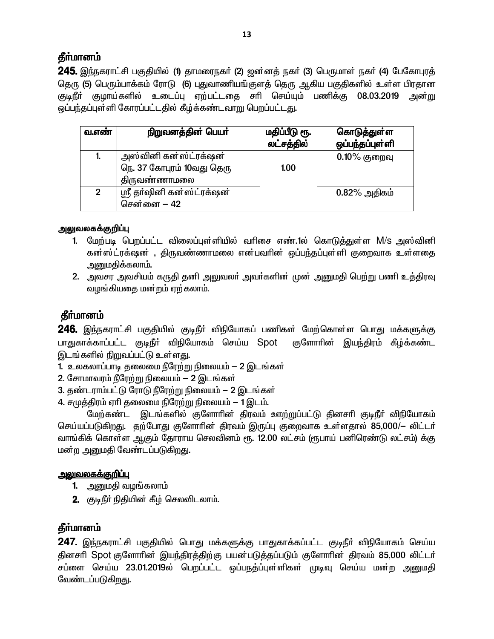245. இந்நகராட்சி பகுதியில் (1) தாமரைநகர் (2) ஜன்னத் நகர் (3) பெருமாள் நகர் (4) பேகோபுரத் தெரு (5) பெரும்பாக்கம் ரோடு (6) புதுவாணியங்குளத் தெரு ஆகிய பகுதிகளில் உள்ள பிரதான குடிநீர் குழாய்களில் உடைப்பு ஏற்பட்டகை சரி செய்யும் பணிக்கு 08.03.2019 அன்று ஒப்பந்தப்புள்ளி கோரப்பட்டதில் கீழ்க்கண்டவாறு பெறப்பட்டது.

| வ.எண்          | நிறுவனத்தின் பெயர்                                | மதிப்பீடு ரூ.<br>லட்சத்தில் | கொடுத்துள்ள<br>ஒப்பந்தப்புள்ளி |
|----------------|---------------------------------------------------|-----------------------------|--------------------------------|
| 1.             | அஸ்வினி கன்ஸ்ட்ரக்ஷன்                             |                             | $0.10\%$ குறைவு                |
|                | நெ. 37 கோபுரம் 10வது தெரு<br><b>திருவண்ணா</b> மலை | 1.00                        |                                |
| $\overline{2}$ | ஸ்ரீ தா்ஷினி கன்ஸ்ட்ரக்ஷன்<br>சென்னை – 42         |                             | $0.82\%$ அதிகம்                |

### அலுவலகக்குறிப்பு

- 1. மேற்படி பெறப்பட்ட விலைப்புள்ளியில் வரிசை எண்.1ல் கொடுத்துள்ள M/s அஸ்வினி கன்ஸ்ட்ரக்ஷன் , திருவண்ணாமலை என்பவரின் ஒப்பந்தப்புள்ளி குறைவாக உள்ளதை அனுமதிக்கலாம்.
- 2. அவசர அவசியம் கருதி தனி அலுவலா் அவா்களின் முன் அனுமதி பெற்று பணி உத்திரவு வழங்கியதை மன்றம் ஏற்கலாம்.

# **கீர்மானம்**

246. இந்நகராட்சி பகுதியில் குடிநீர் விநியோகப் பணிகள் மேற்கொள்ள பொது மக்களுக்கு பாதுகாக்காப்பட்ட குடிநீா் விநியோகம் செய்ய Spot குளோரின் இயந்திரம் கீழ்க்கண்ட இடங்களில் நிறுவப்பட்டு உள்ளது.

- 1. உலகலாப்பாடி தலைமை நீரேற்று நிலையம் 2 இடங்கள்
- 2. சோமாவரம் நீரேற்று நிலையம் 2 இடங்கள்
- 3. தண்டராம்பட்டு ரோடு நீரேற்று நிலையம் 2 இடங்கள்
- 4. சமுத்திரம் ஏரி தலைமை நிரேற்று நிலையம் 1 இடம்.

மேற்கண்ட இடங்களில் குளோரின் திரவம் ஊற்றுப்பட்டு தினசரி குடிநீர் விநியோகம் செய்யப்படுகிறது. தற்போது குளோரின் திரவம் இருப்பு குறைவாக உள்ளதால் 85,000/— லிட்டர் வாங்கிக் கொள்ள ஆகும் தோராய செலவினம் ரூ. 12.00 லட்சம் (ரூபாய் பனிரெண்டு லட்சம்) க்கு மன்ற அனுமதி வேண்டப்படுகிறது.

#### <u>அலுவலகக்குறிப்பு</u>

- 1. அனுமதி வழங்கலாம்
- 2. குடிநீர் நிதியின் கீழ் செலவிடலாம்.

# தீா்மானம்

247. இந்நகராட்சி பகுதியில் பொது மக்களுக்கு பாதுகாக்கப்பட்ட குடிநீா் விநியோகம் செய்ய தினசரி Spot குளோரின் இயந்திரத்திற்கு பயன்படுத்தப்படும் குளோரின் திரவம் 85,000 லிட்டர் சப்ளை செய்ய 23.01.2019ல் பெறப்பட்ட ஒப்பநத்ப்புள்ளிகள் முடிவு செய்ய மன்ற அனுமதி வேண்டப்படுகிறது.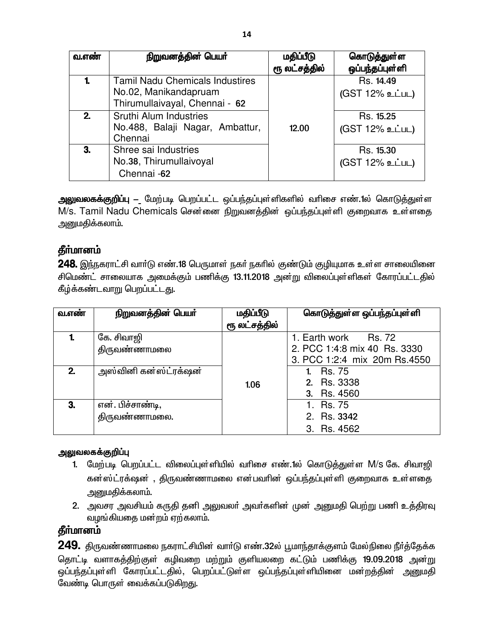| வ.எண் | நிறுவனத்தின் பெயர்                                                   | மதிப்பீடு     | கொடுத்துள்ள                  |
|-------|----------------------------------------------------------------------|---------------|------------------------------|
|       |                                                                      | ரூ லட்சத்தில் | ஒப்பந்தப்புள்ளி              |
| 1.    | <b>Tamil Nadu Chemicals Industires</b><br>No.02, Manikandapruam      |               | Rs. 14.49<br>(GST 12% உட்பட) |
|       | Thirumullaivayal, Chennai - 62                                       |               |                              |
| 2.    | Sruthi Alum Industries<br>No.488, Balaji Nagar, Ambattur,<br>Chennai | 12.00         | Rs. 15.25<br>(GST 12% உட்பட) |
| 3.    | Shree sai Industries<br>No.38, Thirumullaivoyal<br>Chennai -62       |               | Rs. 15.30<br>(GST 12% உட்பட) |

**அலுவலகக்குறிப்பு –** மேற்படி பெறப்பட்ட ஒப்பந்தப்புள்ளிகளில் வாிசை எண்.1ல் கொடுத்துள்ள M/s. Tamil Nadu Chemicals சென்னை நிறுவனத்தின் ஒப்பந்தப்புள்ளி குறைவாக உள்ளதை அனுமதிக்கலாம்.

# தீர்மானம்

248. இந்நகராட்சி வார்டு எண்.18 பெருமாள் நகர் நகரில் குண்டும் குழியுமாக உள்ள சாலையினை சிமெண்ட் சாலையாக அமைக்கும் பணிக்கு 13.11.2018 அன்று விலைப்புள்ளிகள் கோரப்பட்டதில் கீழ்க்கண்டவாறு பெறப்பட்டது.

| வ.எண் | நிறுவனத்தின் பெயர்    | மதிப்பீடு     | கொடுத்துள்ள ஒப்பந்தப்புள்ளி  |
|-------|-----------------------|---------------|------------------------------|
|       |                       | ரூ லட்சத்தில் |                              |
|       | கே. சிவாஜி            |               | 1. Earth work Rs. 72         |
|       | திருவண்ணாமலை          |               | 2. PCC 1:4:8 mix 40 Rs. 3330 |
|       |                       |               | 3. PCC 1:2:4 mix 20m Rs.4550 |
| 2.    | அஸ்வினி கன்ஸ்ட்ரக்ஷன் |               | 1. Rs. 75                    |
|       |                       | 1.06          | 2. Rs. 3338                  |
|       |                       |               | 3. Rs. 4560                  |
| 3.    | என். பிச்சாண்டி,      |               | 1. Rs. 75                    |
|       | திருவண்ணாமலை.         |               | 2. Rs. 3342                  |
|       |                       |               | 3. Rs. 4562                  |

### அலுவலகக்குறிப்பு

- 1. மேற்படி பெறப்பட்ட விலைப்புள்ளியில் வரிசை எண்.1ல் கொடுத்துள்ள M/s கே. சிவாஜி கன்ஸ்ட்ரக்ஷன் , திருவண்ணாமலை என்பவரின் ஒப்பந்தப்புள்ளி குறைவாக உள்ளதை அனுமதிக்கலாம்.
- 2. அவசர அவசியம் கருதி தனி அலுவலா் அவா்களின் முன் அனுமதி பெற்று பணி உத்திரவு வழங்கியதை மன்றம் ஏற்கலாம்.

# தீா்மானம்

 $\overline{249}$ . திருவண்ணாமலை நகராட்சியின் வார்டு எண்.32ல் பூமாந்தாக்குளம் மேல்நிலை நீர்த்தேக்க <u>தொட்டி வளாகத்திற்குள் கழிவறை மற்று</u>ம் குளியலறை கட்டும் பணிக்கு 19.09.2018 அன்று ஒப்பந்தப்புள்ளி கோரப்பட்டதில், பெறப்பட்டுள்ள ஒப்பந்தப்புள்ளியினை மன்றத்தின் அனுமதி வேண்டி பொருள் வைக்கப்படுகிறது.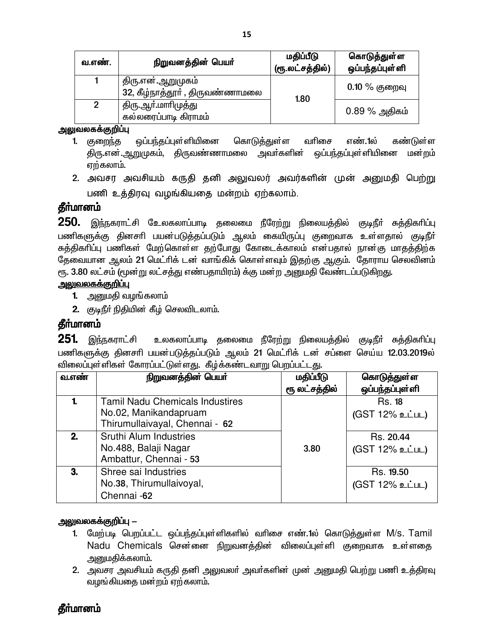| வ.எண்.         | நிறுவனத்தின் பெயர்                                   | மதிப்பீடு<br>(ரூ.லட்சத்தில்) | கொடுத்துள்ள<br>ஒப்பந்தப்புள்ளி |
|----------------|------------------------------------------------------|------------------------------|--------------------------------|
|                | திரு.என்.ஆறுமுகம்<br>32, கீழ்நாத்தூா் , திருவண்ணாமலை | 1.80                         | $0.10\ \%$ குறைவு              |
| $\overline{2}$ | திரு.ஆா்.மாாிமுத்து<br>கல்லரைப்பாடி கிராமம்          |                              | $0.89\%$ அதிகம்                |

அலுவலகக்குறிப்பு

- ஒப்பந்தப்புள்ளியினை வரிசை 1. குறைந்த கொடுத்துள்ள எண்.1ல் கண்டுள்ள ஒப்பந்தப்புள்ளியினை திரு.என்.ஆறுமுகம், திருவண்ணாமலை அவா்களின் மன்றம் ஏற்கலாம்.
- 2. அவசர அவசியம் கருதி தனி அலுவலர் அவர்களின் முன் அனுமதி பெற்று பணி உத்திரவு வழங்கியதை மன்றம் ஏற்கலாம்.

## தீர்மானம்

250. இந்நகராட்சி உேலகலாப்பாடி தலைமை நீரேற்று நிலையத்தில் குடிநீர் சுத்திகரிப்பு பணிகளுக்கு தினசரி பயன்படுத்தப்படும் ஆலம் கையிருப்பு குறைவாக உள்ளதால் குடிநீர் சுத்திகாிப்பு பணிகள் மேற்கொள்ள தற்போது கோடைக்காலம் என்பதால் நான்கு மாதத்திற்க தேவையான ஆலம் 21 மெட்ரிக் டன் வாங்கிக் கொள்ளவும் இதற்கு ஆகும். தோராய செலவினம் ரு. 3.80 லட்சம் (மூன்று லட்சத்து எண்பதாயிரம்) க்கு மன்ற அனுமதி வேண்டப்படுகிறது.

#### <u>அலுவலகக்குறிப்பு</u>

- **1.** அனுமதி வழங்கலாம்
- 2. குடிநீா் நிதியின் கீழ் செலவிடலாம்.

### தீர்மானம்

**251** இந்நகராட்சி உலகலாப்பாடி தலைமை நீரேற்று நிலையத்தில் குடிநீா் சுத்திகாிப்பு பணிகளுக்கு தினசரி பயன்படுத்தப்படும் ஆலம் 21 மெட்ரிக் டன் சப்ளை செய்ய 12.03.2019ல் விலைப்புள்ளிகள் கோரப்பட்டுள்ளது. கீழ்க்கண்டவாறு பெறப்பட்டது.

| <b>வ.எண்</b> | நிறுவனத்தின் பெயர்                     | மதிப்பீடு     | கொடுத்துள்ள     |
|--------------|----------------------------------------|---------------|-----------------|
|              |                                        | ரூ லட்சத்தில் | ஒப்பந்தப்புள்ளி |
|              | <b>Tamil Nadu Chemicals Industires</b> |               | <b>Rs. 18</b>   |
|              | No.02, Manikandapruam                  |               | (GST 12% உட்பட) |
|              | Thirumullaivayal, Chennai - 62         |               |                 |
| 2.           | Sruthi Alum Industries                 |               | Rs. 20.44       |
|              | No.488, Balaji Nagar                   | 3.80          | (GST 12% உட்பட) |
|              | Ambattur, Chennai - 53                 |               |                 |
| 3.           | Shree sai Industries                   |               | Rs. 19.50       |
|              | No.38, Thirumullaivoyal,               |               | (GST 12% உட்பட) |
|              | Chennai -62                            |               |                 |

#### அலுவலகக்குறிப்பு —

- 1. மேற்படி பெறப்பட்ட ஒப்பந்தப்புள்ளிகளில் வரிசை எண்.1ல் கொடுத்துள்ள M/s. Tamil Nadu Chemicals சென்னை நிறுவனத்தின் விலைப்புள்ளி குறைவாக உள்ளதை அனுமதிக்கலாம்.
- 2. அவசர அவசியம் கருதி தனி அலுவலா் அவா்களின் முன் அனுமதி பெற்று பணி உத்திரவு வழங்கியதை மன்றம் ஏற்கலாம்.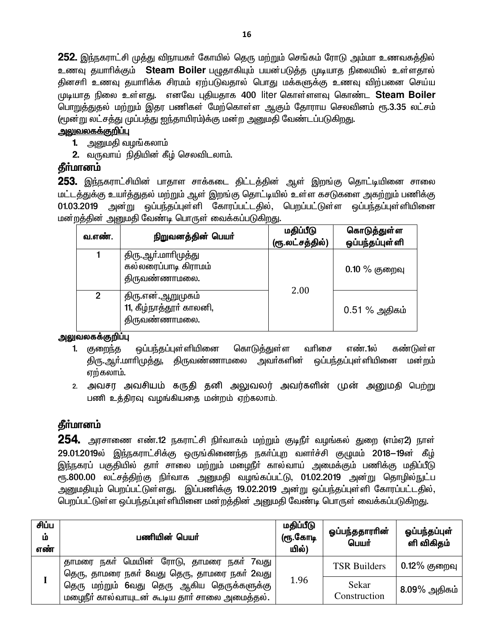**252.** இந்நகராட்சி முத்து விநாயகர் கோயில் தெரு மற்றும் செங்கம் ரோடு அம்மா உணவகத்தில் உணவு தயாாிக்கும் Steam Boiler பழுதாகியும் பயன்படுத்த முடியாத நிலையில் உள்ளதால் தினசாி உணவு தயாாிக்க சிரமம் ஏற்படுவதால் பொது மக்களுக்கு உணவு விற்பனை செய்ய முடியாத நிலை உள்ளது. எனவே புதியதாக 400 liter கொள்ளளவு கொண்ட Steam Boiler பொறுத்துதல் மற்றும் இதர பணிகள் மேற்கொள்ள ஆகும் தோராய செலவினம் ரூ.3.35 லட்சம் (மூன்று லட்சத்து முப்பத்து ஐந்தாயிரம்)க்கு மன்ற அனுமதி வேண்டப்படுகிறது.

## <u>அலுவலகக்குறிப்பு</u>

- **1.** அனுமதி வழங்கலாம்
- **2.** வருவாய் நிதியின் கீழ் செலவிடலாம்.

## தீா்மானம்

253. இந்நகராட்சியின் பாதாள சாக்கடை திட்டத்தின் ஆள் இறங்கு தொட்டியினை சாலை மட்டத்துக்கு உயர்த்துதல் மற்றும் ஆள் இறங்கு தொட்டியில் உள்ள கசடுகளை அகற்றும் பணிக்கு 01.03.2019 அன்று ஒப்பந்தப்புள்ளி கோரப்பட்டதில், பெறப்பட்டுள்ள ஒப்பந்தப்புள்ளியினை மன்றத்தின் அனுமதி வேண்டி பொருள் வைக்கப்படுகிறது.

| வ.எண்.         | நிறுவனத்தின் பெயர்                                            | மதிப்பீடு<br>(ரூ.லட்சத்தில்) | கொடுத்துள்ள<br>ஒப்பந்தப்புள்ளி |
|----------------|---------------------------------------------------------------|------------------------------|--------------------------------|
|                | திரு.ஆா்.மாாிமுத்து<br>கல்லரைப்பாடி கிராமம்<br>திருவண்ணாமலை.  |                              | $0.10\%$ குறைவு                |
| $\mathfrak{p}$ | திரு.என்.ஆறுமுகம்<br>11, கீழ்நாத்தூர் காலனி,<br>திருவண்ணாமலை. | 2.00                         | $0.51\%$ அதிகம்                |

#### அலுவலகக்குறிப்பு

- 1. குறைந்த ஒப்பந்தப்புள்ளியினை கொடுக்குள்ள வரிசை எண்.1ல் கண்டுள்ள ஒப்பந்தப்புள்ளியினை மன்றம் திரு.ஆா்.மாாிமுத்து, திருவண்ணாமலை அவா்களின் ஏற்கலாம்.
- 2. அவசர அவசியம் கருதி தனி அலுவலர் அவர்களின் முன் அனுமதி பெற்று பணி உத்திரவு வழங்கியதை மன்றம் ஏற்கலாம்.

## தீா்மானம்

 $254$ . அரசாணை எண்.12 நகராட்சி நிர்வாகம் மற்றும் குடிநீர் வழங்கல் துறை (எம்ஏ2) நாள் 29.01.2019ல் இந்நகராட்சிக்கு ஒருங்கிணைந்த நகர்ப்புற வளர்ச்சி குழுமம் 2018–19ன் கீழ் இந்நகரப் பகுதியில் தாா் சாலை மற்றும் மழைநீா் கால்வாய் அமைக்கும் பணிக்கு மதிப்பீடு ரூ.800.00 லட்சத்திற்கு நிா்வாக அனுமதி வழங்கப்பட்டு, 01.02.2019 அன்று தொழில்நுட்ப அனுமதியும் பெறப்பட்டுள்ளது. இப்பணிக்கு 19.02.2019 அன்று ஒப்பந்தப்புள்ளி கோரப்பட்டதில், பெறப்பட்டுள்ள ஒப்பந்தப்புள்ளியினை மன்றத்தின் அனுமதி வேண்டி பொருள் வைக்கப்படுகிறது.

| சிப்ப<br>ம்<br>எண் | பணியின் பெயர்                                                                              | மதிப்பீடு<br>(ரூ.கோடி<br>யில்) | ஓப்பந்ததாராின்<br>பெயர் | ஓப்பந்தப்புள்<br>ளி விகிதம் |
|--------------------|--------------------------------------------------------------------------------------------|--------------------------------|-------------------------|-----------------------------|
|                    | தாமரை நகர் மெயின் ரோடு, தாமரை நகர்<br>7வது<br>தெரு, தாமரை நகா் 8வது தெரு, தாமரை நகா் 2வது  |                                | <b>TSR Builders</b>     | $0.12\%$ குறைவு             |
|                    | தெரு மற்றும் 6வது தெரு ஆகிய தெருக்களுக்கு<br>மழைநீர் கால்வாயுடன் கூடிய தார் சாலை அமைத்தல். | 1.96                           | Sekar<br>Construction   | $8.09\%$ அதிகம்             |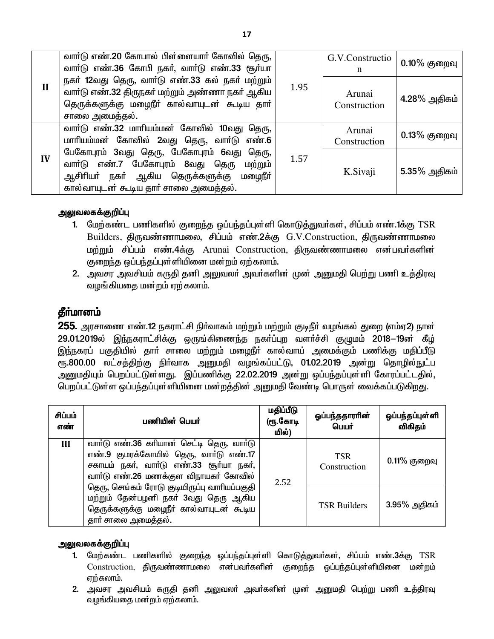|              | வார்டு எண்.20 கோபால் பிள்ளையார் கோவில் தெரு,<br>வார்டு எண்.36 கோபி நகர், வார்டு எண்.33 சூர்யா                                                                              |      | G.V.Constructio<br>n   | $0.10\%$ குறைவு |
|--------------|----------------------------------------------------------------------------------------------------------------------------------------------------------------------------|------|------------------------|-----------------|
| $\mathbf{I}$ | நகர் 12வது தெரு, வார்டு எண்.33 கல் நகர் மற்றும்<br>வாா்டு எண்.32 திருநகா் மற்றும் அண்ணா நகா் ஆகிய<br>தெருக்களுக்கு மழைநீர் கால்வாயுடன் கூடிய தார்<br>சாலை அமைத்தல்.        | 1.95 | Arunai<br>Construction | 4.28% அதிகம்    |
|              | வாா்டு எண்.32 மாாியம்மன் கோவில் 10வது தெரு,<br>மாரியம்மன் கோவில் 2வது தெரு, வாா்டு எண்.6                                                                                   |      | Arunai<br>Construction | $0.13\%$ குறைவு |
| IV           | பேகோபுரம் 3வது தெரு, பேகோபுரம் 6வது தெரு,<br>வாா்டு எண்.7 பேகோபுரம் 8வது தெரு மற்றும்<br>ஆசிரியா் நகா் ஆகிய தெருக்களுக்கு மழைநீா்<br>கால்வாயுடன் கூடிய தார் சாலை அமைத்தல். | 1.57 | K.Sivaji               | $5.35\%$ அதிகம் |

#### அலுவலகக்குறிப்பு

- 1. மேற்கண்ட பணிகளில் குறைந்த ஒப்பந்தப்புள்ளி கொடுத்துவர்கள், சிப்பம் எண்.1க்கு TSR Builders, திருவண்ணாமலை, சிப்பம் எண்.2க்கு G.V.Construction, திருவண்ணாமலை மற்றும் சிப்பம் எண்.4க்கு Arunai Construction, திருவண்ணாமலை என்பவர்களின் குறைந்த ஒப்பந்தப்புள்ளியினை மன்றம் ஏற்கலாம்.
- 2. அவசர அவசியம் கருதி தனி அலுவலா் அவா்களின் முன் அனுமதி பெற்று பணி உத்திரவு வழங்கியதை மன்றம் ஏற்கலாம்.

### தீா்மானம்

255. அரசாணை எண்.12 நகராட்சி நிர்வாகம் மற்றும் மற்றும் குடிநீர் வழங்கல் துறை (எம்ஏ2) நாள் 29.01.2019ல் இந்நகராட்சிக்கு ஒருங்கிணைந்த நகர்ப்புற வளர்ச்சி குழுமம் 2018–19ன் கீழ் இந்நகரப் பகுதியில் தார் சாலை மற்றும் மழைநீர் கால்வாய் அமைக்கும் பணிக்கு மதிப்பீடு ரு.800.00 லட்சத்திற்கு நிர்வாக அனுமதி வழங்கப்பட்டு, 01.02.2019 அன்று தொழில்நுட்ப .<br>அனுமதியும் பெறப்பட்டுள்ளது. இப்பணிக்கு 22.02.2019 அன்று ஒப்பந்தப்புள்ளி கோரப்பட்டதில், பெறப்பட்டுள்ள ஒப்பந்தப்புள்ளியினை மன்றத்தின் அனுமதி வேண்டி பொருள் வைக்கப்படுகிறது.

| சிப்பம்<br>எண் | பணியின் பெயர்                                                                                                                                                           | மதிப்பீடு<br>(ரூ.கோடி<br>யில்) | ஒப்பந்ததாராின்<br>பெயர்    | ஓப்பந்தப்புள்ளி<br>விகிதம் |
|----------------|-------------------------------------------------------------------------------------------------------------------------------------------------------------------------|--------------------------------|----------------------------|----------------------------|
| III            | வார்டு எண்.36 கரியான் செட்டி தெரு, வார்டு<br>எண்.9 குமரக்கோயில் தெரு, வார்டு எண்.17<br>சகாயம் நகர், வார்டு எண்.33 சூர்யா நகர்,<br>வாா்டு எண்.26 மணக்குள விநாயகா் கோவில் | 2.52                           | <b>TSR</b><br>Construction | $0.11\%$ குறைவு            |
|                | தெரு, செங்கம் ரோடு குடியிருப்பு வாரியப்பகுதி<br>மற்றும் தேன்பழனி நகர் 3வது தெரு ஆகிய<br>தெருக்களுக்கு மழைநீர் கால்வாயுடன் கூடிய<br>தாா் சாலை அமைத்தல்.                  |                                | <b>TSR Builders</b>        | $3.95\%$ அதிகம்            |

#### அலுவலகக்குறிப்பு

- 1. மேற்கண்ட பணிகளில் குறைந்த ஒப்பந்தப்புள்ளி கொடுத்துவர்கள், சிப்பம் எண்.3க்கு TSR Construction, திருவண்ணாமலை என்பவர்களின் குறைந்த ஒப்பந்தப்புள்ளியினை மன்றம் ஏற்கலாம்.
- 2. அவசர அவசியம் கருதி தனி அலுவலா் அவா்களின் முன் அனுமதி பெற்று பணி உத்திரவு வழங்கியதை மன்றம் ஏற்கலாம்.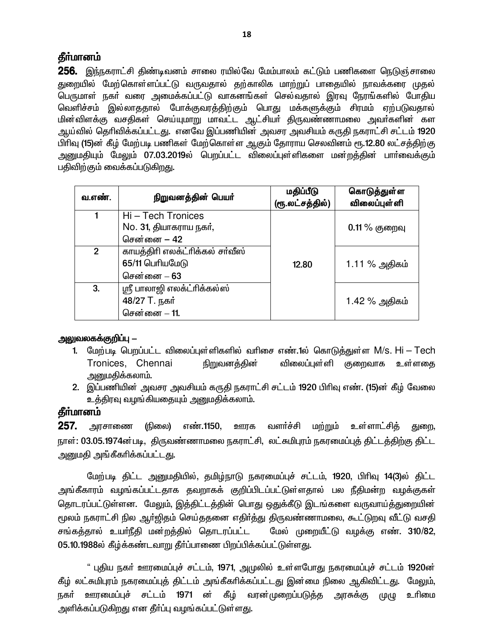256. இந்நகராட்சி திண்டிவனம் சாலை ரயில்வே மேம்பாலம் கட்டும் பணிகளை நெடுஞ்சாலை துறையில் மேற்கொள்ளப்பட்டு வருவதால் தற்காலிக மாற்றுப் பாதையில் நாவக்கரை முதல் பெருமாள் நகர் வரை அமைக்கப்பட்டு வாகனங்கள் செல்வதால் இரவு நேரங்களில் போதிய வெளிச்சம் இல்லாததால் போக்குவரத்திற்கும் பொது மக்களுக்கும் சிரமம் ஏற்படுவதால் மின்விளக்கு வசதிகள் செய்யுமாறு மாவட்ட ஆட்சியா் திருவண்ணாமலை அவா்களின் கள ஆய்வில் தெரிவிக்கப்பட்டது. எனவே இப்பணியின் அவசர அவசியம் கருதி நகராட்சி சட்டம் 1920 பிரிவு (15)ன் கீழ் மேற்படி பணிகள் மேற்கொள்ள ஆகும் தோராய செலவினம் ரூ.12.80 லட்சத்திற்கு அனுமதியும் மேலும் 07.03.2019ல் பெறப்பட்ட விலைப்புள்ளிகளை மன்றத்தின் பாா்வைக்கும் பதிவிற்கும் வைக்கப்படுகிறது.

| வ.எண்.      | நிறுவனத்தின் பெயர்                                                | மதிப்பீடு<br>(ரூ.லட்சத்தில்) | கொடுத்துள்ள<br>விலைப்புள் ளி |
|-------------|-------------------------------------------------------------------|------------------------------|------------------------------|
|             | Hi - Tech Tronices<br>No. 31, தியாகராய நகர்,<br>சென்னை – 42       |                              | $0.11\%$ குறைவு              |
| $2^{\circ}$ | காயத்திரி எலக்ட்ரிக்கல் சர்வீஸ்<br>65/11 பெரியமேடு<br>சென்னை – 63 | 12.80                        | 1.11 % அதிகம்                |
| 3.          | ஸ்ரீ பாலாஜி எலக்ட்ரிக்கல்ஸ்<br>48/27 T. நகர்<br>சென்னை - 11.      |                              | 1.42 % அதிகம்                |

#### அலுவலகக்குறிப்பு —

- 1. மேற்படி பெறப்பட்ட விலைப்புள்ளிகளில் வரிசை எண்.1ல் கொடுத்துள்ள M/s. Hi Tech Tronices, Chennai நிறுவனத்தின் விலைப்புள்ளி குறைவாக உள்ளதை அனுமதிக்கலாம்.
- 2. இப்பணியின் அவசர அவசியம் கருதி நகராட்சி சட்டம் 1920 பிரிவு எண். (15)ன் கீழ் வேலை உத்திரவு வழங்கியதையும் அனுமதிக்கலாம்.

## தீா்மானம்

257. எண்.1150, ஊரக வளர்ச்சி மற்றும் உள்ளாட்சித் அரசாணை (நிலை) துறை, நாள்: 03.05.1974ன்படி, திருவண்ணாமலை நகராட்சி, லட்சுமிபுரம் நகரமைப்புத் திட்டத்திற்கு திட்ட அனுமதி அங்கீகரிக்கப்பட்ட<u>கு</u>.

மேற்படி திட்ட அனுமதியில், தமிழ்நாடு நகரமைப்புச் சட்டம், 1920, பிரிவு 14(3)ல் திட்ட அங்கீகாரம் வழங்கப்பட்டதாக தவறாகக் குறிப்பிடப்பட்டுள்ளதால் பல நீதிமன்ற வழக்குகள் தொடரப்பட்டுள்ளன. மேலும், இத்திட்டத்தின் பொது ஒதுக்கீடு இடங்களை வருவாய்த்துறையின் மூலம் நகராட்சி நில ஆர்ஜிதம் செய்ததனை எதிர்த்து திருவண்ணாமலை, கூட்டுறவு வீட்டு வசதி சங்கத்தால் உயா்நீதி மன்றத்தில் தொடரப்பட்ட மேல் முறையீட்டு வழக்கு எண். 310/82, 05.10.1988ல் கீழ்க்கண்டவாறு தீர்ப்பாணை பிறப்பிக்கப்பட்டுள்ளது.

" புதிய நகர் ஊரமைப்புச் சட்டம், 1971, அமுலில் உள்ளபோது நகரமைப்புச் சட்டம் 1920ன் கீழ் லட்சுமிபுரம் நகரமைப்புத் திட்டம் அங்கீகரிக்கப்பட்டது இன்மை நிலை ஆகிவிட்டது. மேலும், நகா் ஊரமைப்புச் சட்டம் 1971 ன் கீழ் வரன்முறைப்படுத்த அரசுக்கு முழு உரிமை அளிக்கப்படுகிறது என தீா்ப்பு வழங்கப்பட்டுள்ளது.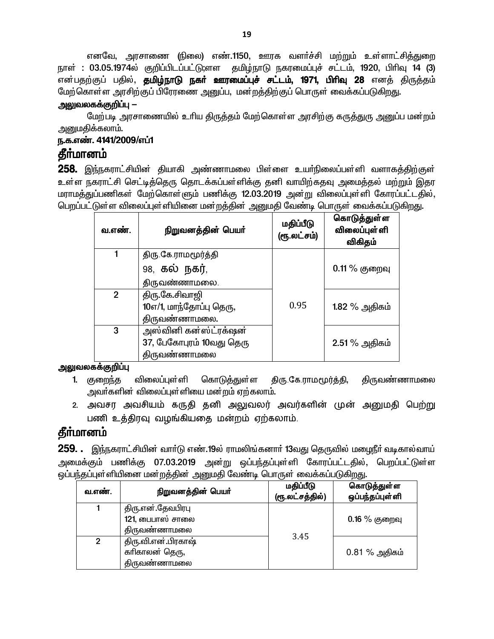எனவே, அரசாணை (நிலை) எண்.1150, ஊரக வளர்ச்சி மற்றும் உள்ளாட்சித்துறை நாள் : 03.05.1974ல் குறிப்பிடப்பட்டு;ளள தமிழ்நாடு நகரமைப்புச் சட்டம், 1920, பிரிவு 14 (3) என்பதற்குப் பதில், **தமிழ்நாடு நகர் ஊரமைப்புச் சட்டம், 1971, பிரிவு 28** எனத் திருத்தம் மேற்கொள்ள அரசிற்குப் பிரேரணை அனுப்ப, மன்றத்திற்குப் பொருள் வைக்கப்படுகிறது.

#### <u> அலுவலகக்குறிப்பு —</u>

மேற்படி அரசாணையில் உரிய திருத்தம் மேற்கொள்ள அரசிற்கு கருத்துரு அனுப்ப மன்றம் அனுமதிக்கலாம்.

## ந.க.எண். 4141/2009/எப்1

## **கீர்மானம்**

258. இந்நகராட்சியின் தியாகி அண்ணாமலை பிள்ளை உயர்நிலைப்பள்ளி வளாகத்திற்குள் உள்ள நகராட்சி செட்டித்தெரு தொடக்கப்பள்ளிக்கு தனி வாயிற்கதவு அமைத்தல் மற்றும் இதர மராமத்துப்பணிகள் மேற்கொள்ளும் பணிக்கு 12.03.2019 அன்று விலைப்புள்ளி கோரப்பட்டதில், பெறப்பட்டுள்ள விலைப்புள்ளியினை மன்றத்தின் அனுமதி வேண்டி பொருள் வைக்கப்படுகிறது.

| வ.எண்.       | நிறுவனத்தின் பெயர்       | மதிப்பீடு<br>(ரூ.லட்சம்) | கொடுத்துள்ள<br><b>விலைப்புள்</b> ளி<br>விகிதம் |
|--------------|--------------------------|--------------------------|------------------------------------------------|
| 1            | திரு கே ராமமூர்த்தி      |                          |                                                |
|              | 98, கல் நகர்,            |                          | $0.11\%$ குறைவு                                |
|              | திருவண்ணாமலை.            |                          |                                                |
| $\mathbf{2}$ | திரு.கே.சிவாஜி           |                          |                                                |
|              | 10எ/1, மாந்தோப்பு தெரு,  | 0.95                     | 1.82 % அதிகம்                                  |
|              | திருவண்ணாமலை.            |                          |                                                |
| 3            | அஸ்வினி கன்ஸ்ட்ரக்ஷன்    |                          |                                                |
|              | 37, பேகோபுரம் 10வது தெரு |                          | 2.51 % அதிகம்                                  |
|              | திருவண்ணாமலை             |                          |                                                |

#### அலுவலகக்குறிப்பு

- 1. குறைந்த திரு கே.ராமமூர்த்தி, விலைப்புள்ளி கொடுத்துள்ள திருவண்ணாமலை அவர்களின் விலைப்புள்ளியை மன்றம் ஏற்கலாம்.
- 2. அவசர அவசியம் கருதி தனி அலுவலர் அவர்களின் முன் அனுமதி பெற்று பணி உத்திரவு வமங்கியதை மன்றம் ஏற்கலாம்.

# **கீர்மானம்**

259. . இந்நகராட்சியின் வார்டு எண்.19ல் ராமலிங்கனார் 13வது தெருவில் மழைநீர் வடிகால்வாய் அமைக்கும் பணிக்கு 07.03.2019 அன்று ஒப்பந்தப்புள்ளி கோரப்பட்டதில், பெறப்பட்டுள்ள ஒப்பந்தப்புள்ளியினை மன்றத்தின் அனுமதி வேண்டி பொருள் வைக்கப்படுகிறது.

| வ.எண்.         | நிறுவனத்தின் பெயர்  | மதிப்பீடு<br>(ரூ.லட்சத்தில்) | கொடுத்துள்ள<br>ஒப்பந்தப்புள்ளி |
|----------------|---------------------|------------------------------|--------------------------------|
|                | திரு.என்.தேவபிரபு   |                              |                                |
|                | $121$ , பைபாஸ் சாலை |                              | $0.16\%$ குறைவு                |
|                | திருவண்ணாமலை        |                              |                                |
| $\overline{2}$ | திரு.வி.என்.பிரகாஷ் | 3.45                         |                                |
|                | கரிகாலன் தெரு,      |                              | $0.81\%$ அதிகம்                |
|                | திருவண்ணாமலை        |                              |                                |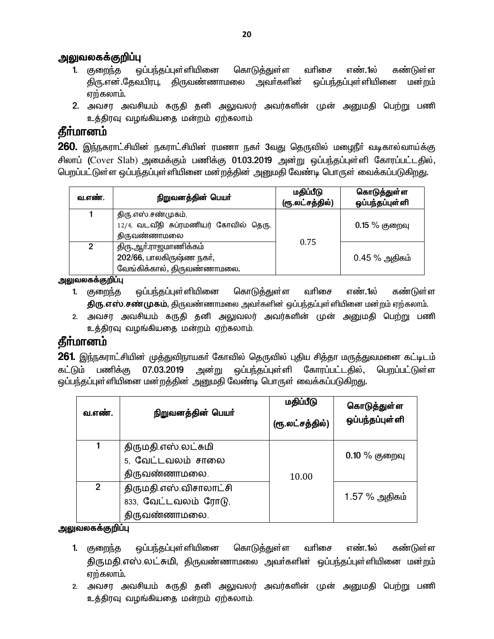#### அலுவலகக்குறிப்பு

- 1. குறைந்த ஒப்பந்தப்புள்ளியினை கொடுத்துள்ள வரிசை எண்.1ல் கண்டுள்ள திரு.என்.தேவபிரபு, திருவண்ணாமலை அவர்களின் ஒப்பந்தப்புள்ளியினை மன்றம் ஏற்கலாம்.
- 2. அவசர அவசியம் கருதி தனி அலுவலர் அவர்களின் முன் அனுமதி பெற்று பணி உத்திரவு வழங்கியதை மன்றம் ஏற்கலாம்

# **தீர்மானம்**

 $260$ . இந்நகராட்சியின் நகராட்சியின் ரமணா நகர் 3வது தெருவில் மழைநீர் வடிகால்வாய்க்கு சிலாப் (Cover Slab) அமைக்கும் பணிக்கு 01.03.2019 அன்று ஒப்பந்தப்புள்ளி கோரப்பட்டதில், <u>பெறப்பட்டுள்ள ஒப்பந்தப்புள்ளியினை மன்றத்தின் அனுமதி வேண்டி பொருள் வைக்கப்படுகிறது.</u>

| வ.எண்.         | நிறுவனத்தின் பெயர்                                                               | மதிப்பீடு<br>(ரூ.லட்சத்தில்) | கொடுத்துள்ள<br>ஒப்பந்தப்புள்ளி |
|----------------|----------------------------------------------------------------------------------|------------------------------|--------------------------------|
|                | திரு.எஸ்.சண்முகம்,<br>12/4, வடவீதி சுப்ரமணியர் கோவில் தெரு,<br>திருவண்ணாமலை      |                              | $0.15\%$ குறைவு                |
| $\overline{2}$ | திரு.ஆா்.ராஜமாணிக்கம்<br>202/66, பாலகிருஷ்ண நகர்,<br>வேங்கிக்கால், திருவண்ணாமலை. | 0.75                         | $0.45\%$ அதிகம்                |

அலுவலகக்குறிப்பு

- 1. குறைந்த ஒப்பந்தப்புள்ளியினை கொடுத்துள்ள வரிசை எண்.1ல் கண்டுள்ள <mark>திரு.எஸ்.சண்முகம்</mark>, திருவண்ணாமலை அவர்களின் ஒப்பந்தப்புள்ளியினை மன்றம் ஏற்கலாம்.
- 2. அவசர அவசியம் கருதி தனி அலுவலர் அவர்களின் முன் அனுமதி பெற்று பணி உத்திரவு வழங்கியதை மன்றம் ஏற்கலாம்.

# **தீர்மானம்**

261. இந்நகராட்சியின் முத்துவிநாயகர் கோவில் தெருவில் புதிய சித்தா மருத்துவமனை கட்டிடம் ்கட்டும் பணிக்கு 07.03.2019 அன்று ஒப்பந்தப்புள்ளி கோரப்பட்டதில், பெறப்பட்டுள்ள ஒப்பந்தப்புள்ளியினை மன்றத்தின் அனுமதி வேண்டி பொருள் வைக்கப்படுகிறது.

| வ.எண்.         | நிறுவனத்தின் பெயர்                                              | மதிப்பீடு<br>(ரூ.லட்சத்தில்) | கொடுத்துள்ள<br>ஒப்பந்தப்புள்ளி |
|----------------|-----------------------------------------------------------------|------------------------------|--------------------------------|
|                | திருமதி.எஸ்.லட்சுமி<br>5, வேட்டவலம் சாலை<br>திருவண்ணாமலை.       | 10.00                        | $0.10\%$ குறைவு                |
| $\overline{2}$ | திருமதி.எஸ்.விசாலாட்சி<br>833, வேட்டவலம் ரோடு,<br>திருவண்ணாமலை. |                              | 1.57 % அதிகம்                  |

#### அலுவலகக்குறிப்பு

- 1. குறைந்த ஒப்பந்தப்புள்ளியினை கொடுத்துள்ள வரிசை எண்.1ல் கண்டுள்ள திருமதி எஸ் லட்சுமி, திருவண்ணாமலை அவர்களின் ஒப்பந்தப்புள்ளியினை மன்றம் எற்கலாம்.
- 2. அவசர அவசியம் கருதி தனி அலுவலர் அவர்களின் முன் அனுமதி பெற்று பணி உத்திரவு வழங்கியதை மன்றம் ஏற்கலாம்.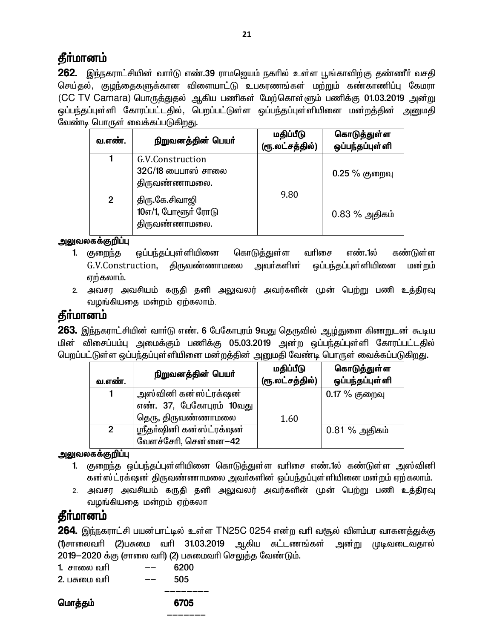262. இந்நகராட்சியின் வாா்டு எண்.39 ராமஜெயம் நகாில் உள்ள பூங்காவிற்கு தண்ணீா் வசதி செய்தல், குழந்தைகளுக்கான விளையாட்டு உபகரணங்கள் மற்றும் கண்காணிப்பு கேமரா (CC TV Camara) பொருத்துதல் ஆகிய பணிகள் மேற்கொள்ளும் பணிக்கு 01.03.2019 அன்று ஒப்பந்தப்புள்ளி கோரப்பட்டதில், பெறப்பட்டுள்ள ஒப்பந்தப்புள்ளியினை மன்றத்தின் அனுமதி வேண்டி பொருள் வைக்கப்படுகிறது.

| வ.எண்.         | நிறுவனத்தின் பெயர்                                        | மதிப்பீடு<br>(ரூ.லட்சத்தில்) | கொடுத்துள்ள<br>ஒப்பந்தப்புள்ளி |
|----------------|-----------------------------------------------------------|------------------------------|--------------------------------|
|                | G.V.Construction<br>$32G/18$ பைபாஸ் சாலை<br>திருவண்ணாமலை. |                              | $0.25\%$ குறைவு                |
| $\mathfrak{p}$ | திரு கே.சிவாஜி<br>10எ/1, போளூர் ரோடு<br>திருவண்ணாமலை.     | 9.80                         | $0.83\%$ அதிகம்                |

### அலுவலகக்குறிப்பு

- ஒப்பந்தப்புள்ளியினை வரிசை கொடுத்துள்ள எண். ல கண்டுள்ள 1. குறைந்த G.V.Construction, திருவண்ணாமலை அவா்களின் ஒப்பந்தப்புள்ளியினை மன்றம் ஏற்கலாம்.
- 2. அவசர அவசியம் கருதி தனி அலுவலர் அவர்களின் முன் பெற்று பணி உத்திரவு வழங்கியதை மன்றம் ஏற்கலாம்.

# கீர்மானம்

**263.** இந்நகராட்சியின் வாா்டு எண். 6 பேகோபுரம் 9வது தெருவில் ஆழ்துளை கிணறுடன் கூடிய மின் விசைப்பம்பு அமைக்கும் பணிக்கு 05.03.2019 அன்ற ஒப்பந்தப்புள்ளி கோரப்பட்டதில் பெறப்பட்டுள்ள ஒப்பந்தப்புள்ளியினை மன்றத்தின் அனுமதி வேண்டி பொருள் வைக்கப்படுகிறது.

| வ.எண்.       | நிறுவனத்தின் பெயர்                                                      | மதிப்பீடு<br>(ரூ.லட்சத்தில்) | கொடுத்துள்ள<br>ஒப்பந்தப்புள்ளி |
|--------------|-------------------------------------------------------------------------|------------------------------|--------------------------------|
|              | அஸ்வினி கன்ஸ்ட்ரக்ஷன்<br>எண். 37, பேகோபுரம் 10வது<br>தெரு, திருவண்ணாமலை | 1.60                         | $0.17\%$ குறைவு                |
| $\mathbf{2}$ | ஸ்ரீதா்ஷினி கன்ஸ்ட்ரக்ஷன்<br>வேளச்சேரி, சென்னை–42                       |                              | $0.81\%$ அதிகம்                |

### அலுவலகக்குறிப்பு

- 1. குறைந்த ஒப்பந்தப்புள்ளியினை கொடுத்துள்ள வரிசை எண்.1ல் கண்டுள்ள அஸ்வினி கன்ஸ்ட்ரக்ஷன் திருவண்ணாமலை அவா்களின் ஒப்பந்தப்புள்ளியினை மன்றம் ஏற்கலாம்.
- 2. அவசர அவசியம் கருதி தனி அலுவலர் அவர்களின் முன் பெற்று பணி உத்திரவு வழங்கியதை மன்றம் ஏற்கலா

# தீர்மானம்

**264.** இந்நகராட்சி பயன்பாட்டில் உள்ள TN25C 0254 என்ற வரி வசூல் விளம்பர வாகனத்துக்கு (1)சாலைவரி (2)பசுமை வரி 31.03.2019 ஆகிய கட்டணங்கள் அன்று முடிவடைவதால் 2019–2020 க்கு (சாலை வரி) (2) பசுமைவரி செலுக்கு வேண்டும்.

| 1. சாலை வரி  | 6200 |
|--------------|------|
| 2. பசுமை வரி | 505  |

மொத்தம் 6705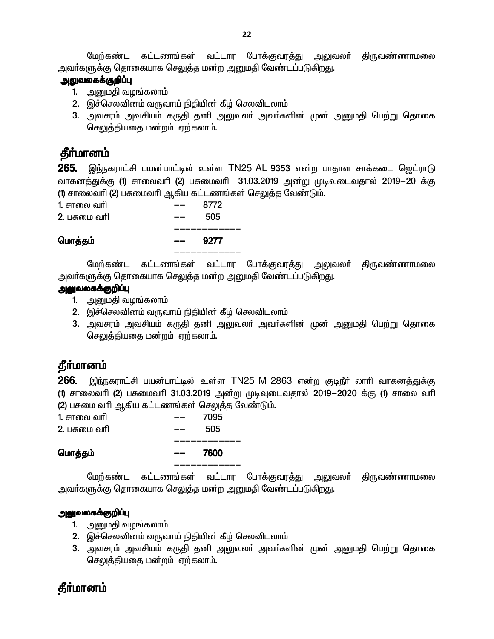மேற்கண்ட கட்டணங்கள் வட்டார போக்குவரத்து அலுவலா் திருவண்ணாமலை அவா்களுக்கு தொகையாக செ<u>லு</u>த்த மன்ற அனுமதி வேண்டப்படுகி<u>றத</u>ு.

#### **அலுவலகக்குறிப்பு**

- 1. அனுமதி வழங்கலாம்
- 2. இச்செலவினம் வருவாய் நிதியின் கீழ் செலவிடலாம்
- 3. அவசரம் அவசியம் கருதி தனி அலுவலா் அவா்களின் முன் அனுமதி பெற்று தொகை செலுத்தியதை மன்றம் ஏற்கலாம்.

# **தீர்மானம்**

265. இந்நகராட்சி பயன்பாட்டில் உள்ள TN25 AL 9353 என்ற பாதாள சாக்கடை ஜெட்ராடு வாகனத்துக்கு (1) சாலைவரி (2) பசுமைவரி 31.03.2019 அன்று முடிவுடைவதால் 2019-20 க்கு (1) சாலைவரி (2) பசுமைவரி ஆகிய கட்டணங்கள் செலுத்த வேண்டும்.

| மொத்தம்      | 9277<br>$- -$ |  |
|--------------|---------------|--|
| 2. பசுமை வரி | 505           |  |
| 1. சாலை வரி  | 8772          |  |

மேற்கண்ட கட்டணங்கள் வட்டார போக்குவரத்து அலுவலா் திருவண்ணாமலை அவா்களுக்கு தொகையாக செலுத்த மன்ற <u>அனு</u>மதி வேண்டப்படுகிறது.

#### <u>அலுவலகக்குறிப்பு</u>

- 1. அனுமதி வழங்கலாம்
- 2. இச்செலவினம் வருவாய் நிதியின் கீழ் செலவிடலாம்
- 3. அவசரம் அவசியம் கருதி தனி அலுவலா் அவா்களின் முன் அனுமதி பெற்று தொகை செலுத்தியதை மன்றம் ஏற்கலாம்.

# **தீர்மானம்**

 $266$ . இந்நகராட்சி பயன்பாட்டில் உள்ள TN25 M 2863 என்ற குடிநீர் லாரி வாகனத்துக்கு (1) சாலைவரி (2) பசுமைவரி 31.03.2019 அன்று முடிவுடைவதால் 2019-2020 க்கு (1) சாலை வரி (2) பசுமை வரி ஆகிய கட்டணங்கள் செலுத்த வேண்டும்.

| 1. சாலை வரி  |     | 7095 |
|--------------|-----|------|
| 2. பசுமை வரி |     | 505  |
|              |     |      |
|              |     |      |
| மொத்தம்      | $-$ | 7600 |

மேற்கண்ட கட்டணங்கள் வட்டார போக்குவரத்து அலுவலா் திருவண்ணாமலை அவா்களுக்கு தொகையாக செலுத்த மன்ற அனுமதி வேண்டப்படுகிறது.

#### அலுவலகக்குறிப்பு

- 1. அனுமதி வழங்கலாம்
- 2. இச்செலவினம் வருவாய் நிதியின் கீழ் செலவிடலாம்
- 3. அவசரம் அவசியம் கருதி தனி அலுவலா் அவா்களின் முன் அனுமதி பெற்று தொகை செலுத்தியதை மன்றம் ஏற்கலாம்.

# **தீர்மானம்**